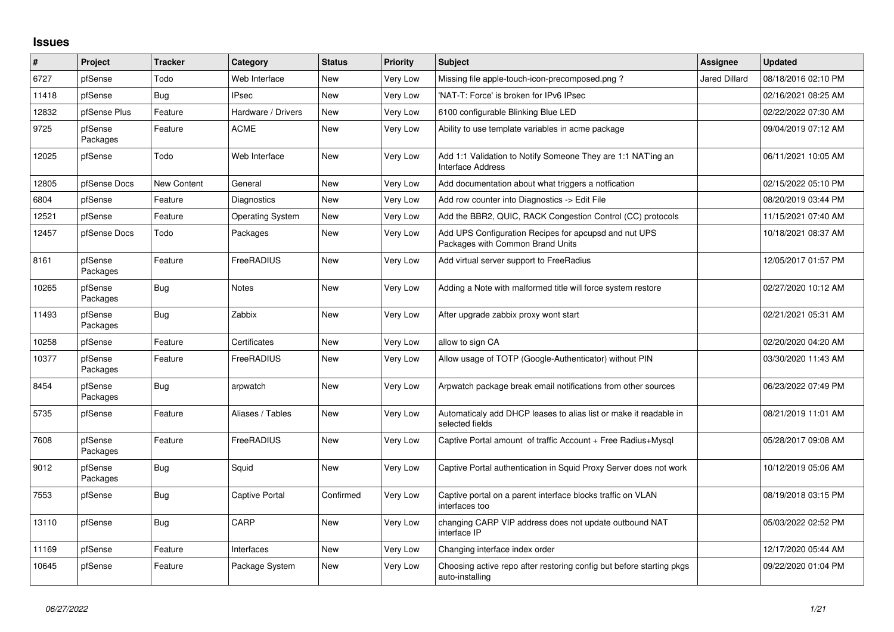## **Issues**

| ∦     | Project             | <b>Tracker</b> | Category                | <b>Status</b> | <b>Priority</b> | <b>Subject</b>                                                                            | <b>Assignee</b>      | <b>Updated</b>      |
|-------|---------------------|----------------|-------------------------|---------------|-----------------|-------------------------------------------------------------------------------------------|----------------------|---------------------|
| 6727  | pfSense             | Todo           | Web Interface           | <b>New</b>    | Very Low        | Missing file apple-touch-icon-precomposed.png?                                            | <b>Jared Dillard</b> | 08/18/2016 02:10 PM |
| 11418 | pfSense             | Bug            | <b>IPsec</b>            | <b>New</b>    | Very Low        | 'NAT-T: Force' is broken for IPv6 IPsec                                                   |                      | 02/16/2021 08:25 AM |
| 12832 | pfSense Plus        | Feature        | Hardware / Drivers      | <b>New</b>    | Very Low        | 6100 configurable Blinking Blue LED                                                       |                      | 02/22/2022 07:30 AM |
| 9725  | pfSense<br>Packages | Feature        | <b>ACME</b>             | <b>New</b>    | Very Low        | Ability to use template variables in acme package                                         |                      | 09/04/2019 07:12 AM |
| 12025 | pfSense             | Todo           | Web Interface           | <b>New</b>    | Very Low        | Add 1:1 Validation to Notify Someone They are 1:1 NAT'ing an<br>Interface Address         |                      | 06/11/2021 10:05 AM |
| 12805 | pfSense Docs        | New Content    | General                 | <b>New</b>    | Very Low        | Add documentation about what triggers a notfication                                       |                      | 02/15/2022 05:10 PM |
| 6804  | pfSense             | Feature        | Diagnostics             | <b>New</b>    | Very Low        | Add row counter into Diagnostics -> Edit File                                             |                      | 08/20/2019 03:44 PM |
| 12521 | pfSense             | Feature        | <b>Operating System</b> | <b>New</b>    | Very Low        | Add the BBR2, QUIC, RACK Congestion Control (CC) protocols                                |                      | 11/15/2021 07:40 AM |
| 12457 | pfSense Docs        | Todo           | Packages                | <b>New</b>    | Very Low        | Add UPS Configuration Recipes for apcupsd and nut UPS<br>Packages with Common Brand Units |                      | 10/18/2021 08:37 AM |
| 8161  | pfSense<br>Packages | Feature        | FreeRADIUS              | <b>New</b>    | Very Low        | Add virtual server support to FreeRadius                                                  |                      | 12/05/2017 01:57 PM |
| 10265 | pfSense<br>Packages | Bug            | <b>Notes</b>            | <b>New</b>    | Very Low        | Adding a Note with malformed title will force system restore                              |                      | 02/27/2020 10:12 AM |
| 11493 | pfSense<br>Packages | Bug            | Zabbix                  | <b>New</b>    | Very Low        | After upgrade zabbix proxy wont start                                                     |                      | 02/21/2021 05:31 AM |
| 10258 | pfSense             | Feature        | Certificates            | <b>New</b>    | Very Low        | allow to sign CA                                                                          |                      | 02/20/2020 04:20 AM |
| 10377 | pfSense<br>Packages | Feature        | FreeRADIUS              | New           | Very Low        | Allow usage of TOTP (Google-Authenticator) without PIN                                    |                      | 03/30/2020 11:43 AM |
| 8454  | pfSense<br>Packages | Bug            | arpwatch                | <b>New</b>    | Very Low        | Arpwatch package break email notifications from other sources                             |                      | 06/23/2022 07:49 PM |
| 5735  | pfSense             | Feature        | Aliases / Tables        | <b>New</b>    | Very Low        | Automaticaly add DHCP leases to alias list or make it readable in<br>selected fields      |                      | 08/21/2019 11:01 AM |
| 7608  | pfSense<br>Packages | Feature        | FreeRADIUS              | New           | Very Low        | Captive Portal amount of traffic Account + Free Radius+Mysql                              |                      | 05/28/2017 09:08 AM |
| 9012  | pfSense<br>Packages | <b>Bug</b>     | Squid                   | <b>New</b>    | Very Low        | Captive Portal authentication in Squid Proxy Server does not work                         |                      | 10/12/2019 05:06 AM |
| 7553  | pfSense             | Bug            | Captive Portal          | Confirmed     | Very Low        | Captive portal on a parent interface blocks traffic on VLAN<br>interfaces too             |                      | 08/19/2018 03:15 PM |
| 13110 | pfSense             | Bug            | CARP                    | <b>New</b>    | Very Low        | changing CARP VIP address does not update outbound NAT<br>interface IP                    |                      | 05/03/2022 02:52 PM |
| 11169 | pfSense             | Feature        | Interfaces              | <b>New</b>    | Very Low        | Changing interface index order                                                            |                      | 12/17/2020 05:44 AM |
| 10645 | pfSense             | Feature        | Package System          | <b>New</b>    | Very Low        | Choosing active repo after restoring config but before starting pkgs<br>auto-installing   |                      | 09/22/2020 01:04 PM |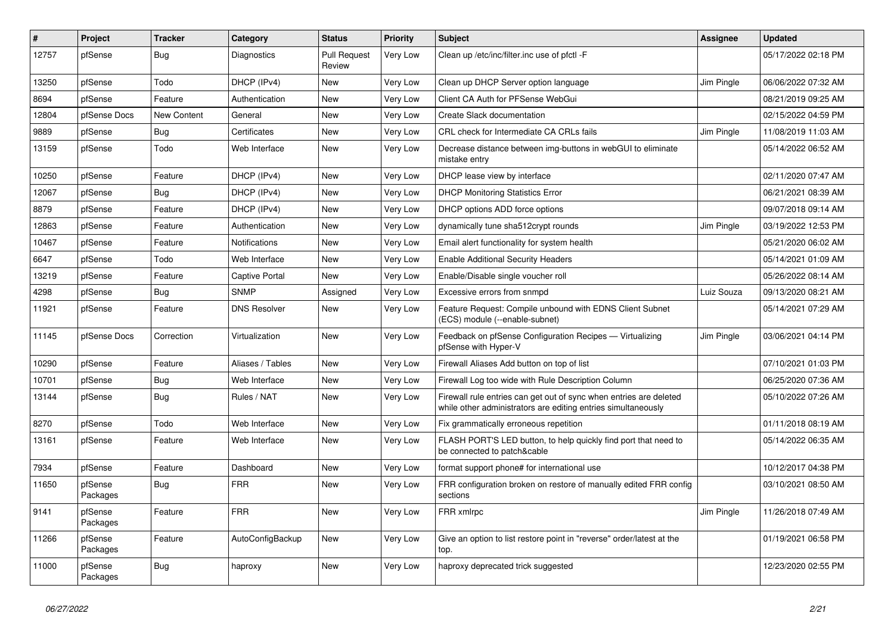| ∦     | <b>Project</b>      | <b>Tracker</b> | Category              | <b>Status</b>                 | <b>Priority</b> | <b>Subject</b>                                                                                                                      | Assignee   | <b>Updated</b>      |
|-------|---------------------|----------------|-----------------------|-------------------------------|-----------------|-------------------------------------------------------------------------------------------------------------------------------------|------------|---------------------|
| 12757 | pfSense             | <b>Bug</b>     | <b>Diagnostics</b>    | <b>Pull Request</b><br>Review | <b>Very Low</b> | Clean up /etc/inc/filter.inc use of pfctl -F                                                                                        |            | 05/17/2022 02:18 PM |
| 13250 | pfSense             | Todo           | DHCP (IPv4)           | New                           | Very Low        | Clean up DHCP Server option language                                                                                                | Jim Pingle | 06/06/2022 07:32 AM |
| 8694  | pfSense             | Feature        | Authentication        | New                           | Very Low        | Client CA Auth for PFSense WebGui                                                                                                   |            | 08/21/2019 09:25 AM |
| 12804 | pfSense Docs        | New Content    | General               | New                           | Very Low        | Create Slack documentation                                                                                                          |            | 02/15/2022 04:59 PM |
| 9889  | pfSense             | Bug            | Certificates          | <b>New</b>                    | <b>Very Low</b> | CRL check for Intermediate CA CRLs fails                                                                                            | Jim Pingle | 11/08/2019 11:03 AM |
| 13159 | pfSense             | Todo           | Web Interface         | <b>New</b>                    | Very Low        | Decrease distance between img-buttons in webGUI to eliminate<br>mistake entry                                                       |            | 05/14/2022 06:52 AM |
| 10250 | pfSense             | Feature        | DHCP (IPv4)           | <b>New</b>                    | <b>Very Low</b> | DHCP lease view by interface                                                                                                        |            | 02/11/2020 07:47 AM |
| 12067 | pfSense             | Bug            | DHCP (IPv4)           | New                           | Very Low        | <b>DHCP Monitoring Statistics Error</b>                                                                                             |            | 06/21/2021 08:39 AM |
| 8879  | pfSense             | Feature        | DHCP (IPv4)           | New                           | Very Low        | DHCP options ADD force options                                                                                                      |            | 09/07/2018 09:14 AM |
| 12863 | pfSense             | Feature        | Authentication        | New                           | Very Low        | dynamically tune sha512crypt rounds                                                                                                 | Jim Pingle | 03/19/2022 12:53 PM |
| 10467 | pfSense             | Feature        | <b>Notifications</b>  | <b>New</b>                    | Very Low        | Email alert functionality for system health                                                                                         |            | 05/21/2020 06:02 AM |
| 6647  | pfSense             | Todo           | Web Interface         | <b>New</b>                    | Very Low        | Enable Additional Security Headers                                                                                                  |            | 05/14/2021 01:09 AM |
| 13219 | pfSense             | Feature        | <b>Captive Portal</b> | <b>New</b>                    | Very Low        | Enable/Disable single voucher roll                                                                                                  |            | 05/26/2022 08:14 AM |
| 4298  | pfSense             | <b>Bug</b>     | <b>SNMP</b>           | Assigned                      | Very Low        | Excessive errors from snmpd                                                                                                         | Luiz Souza | 09/13/2020 08:21 AM |
| 11921 | pfSense             | Feature        | <b>DNS Resolver</b>   | <b>New</b>                    | Very Low        | Feature Request: Compile unbound with EDNS Client Subnet<br>(ECS) module (--enable-subnet)                                          |            | 05/14/2021 07:29 AM |
| 11145 | pfSense Docs        | Correction     | Virtualization        | New                           | <b>Very Low</b> | Feedback on pfSense Configuration Recipes - Virtualizing<br>pfSense with Hyper-V                                                    | Jim Pingle | 03/06/2021 04:14 PM |
| 10290 | pfSense             | Feature        | Aliases / Tables      | <b>New</b>                    | Very Low        | Firewall Aliases Add button on top of list                                                                                          |            | 07/10/2021 01:03 PM |
| 10701 | pfSense             | Bug            | Web Interface         | New                           | Very Low        | Firewall Log too wide with Rule Description Column                                                                                  |            | 06/25/2020 07:36 AM |
| 13144 | pfSense             | <b>Bug</b>     | Rules / NAT           | New                           | Very Low        | Firewall rule entries can get out of sync when entries are deleted<br>while other administrators are editing entries simultaneously |            | 05/10/2022 07:26 AM |
| 8270  | pfSense             | Todo           | Web Interface         | <b>New</b>                    | Very Low        | Fix grammatically erroneous repetition                                                                                              |            | 01/11/2018 08:19 AM |
| 13161 | pfSense             | Feature        | Web Interface         | <b>New</b>                    | Very Low        | FLASH PORT'S LED button, to help quickly find port that need to<br>be connected to patch&cable                                      |            | 05/14/2022 06:35 AM |
| 7934  | pfSense             | Feature        | Dashboard             | <b>New</b>                    | <b>Very Low</b> | format support phone# for international use                                                                                         |            | 10/12/2017 04:38 PM |
| 11650 | pfSense<br>Packages | <b>Bug</b>     | <b>FRR</b>            | <b>New</b>                    | Very Low        | FRR configuration broken on restore of manually edited FRR config<br>sections                                                       |            | 03/10/2021 08:50 AM |
| 9141  | pfSense<br>Packages | Feature        | <b>FRR</b>            | New                           | Very Low        | FRR xmlrpc                                                                                                                          | Jim Pingle | 11/26/2018 07:49 AM |
| 11266 | pfSense<br>Packages | Feature        | AutoConfigBackup      | <b>New</b>                    | Very Low        | Give an option to list restore point in "reverse" order/latest at the<br>top.                                                       |            | 01/19/2021 06:58 PM |
| 11000 | pfSense<br>Packages | Bug            | haproxy               | <b>New</b>                    | <b>Very Low</b> | haproxy deprecated trick suggested                                                                                                  |            | 12/23/2020 02:55 PM |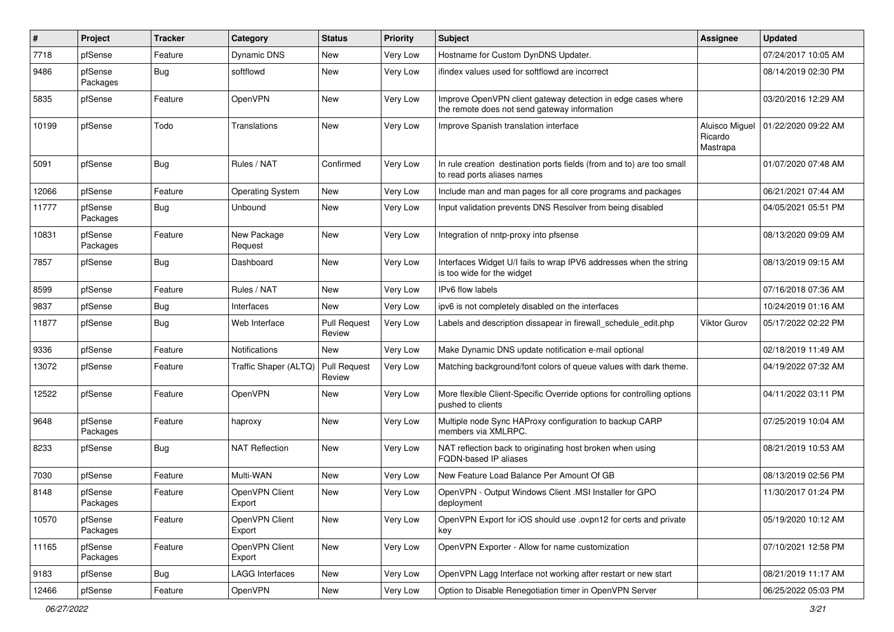| #     | Project             | <b>Tracker</b> | Category                 | <b>Status</b>                 | <b>Priority</b> | Subject                                                                                                      | <b>Assignee</b>                       | <b>Updated</b>      |
|-------|---------------------|----------------|--------------------------|-------------------------------|-----------------|--------------------------------------------------------------------------------------------------------------|---------------------------------------|---------------------|
| 7718  | pfSense             | Feature        | Dynamic DNS              | New                           | Very Low        | Hostname for Custom DynDNS Updater.                                                                          |                                       | 07/24/2017 10:05 AM |
| 9486  | pfSense<br>Packages | Bug            | softflowd                | <b>New</b>                    | Very Low        | ifindex values used for softflowd are incorrect                                                              |                                       | 08/14/2019 02:30 PM |
| 5835  | pfSense             | Feature        | OpenVPN                  | <b>New</b>                    | Very Low        | Improve OpenVPN client gateway detection in edge cases where<br>the remote does not send gateway information |                                       | 03/20/2016 12:29 AM |
| 10199 | pfSense             | Todo           | Translations             | New                           | Very Low        | Improve Spanish translation interface                                                                        | Aluisco Miguel<br>Ricardo<br>Mastrapa | 01/22/2020 09:22 AM |
| 5091  | pfSense             | Bug            | Rules / NAT              | Confirmed                     | Very Low        | In rule creation destination ports fields (from and to) are too small<br>to read ports aliases names         |                                       | 01/07/2020 07:48 AM |
| 12066 | pfSense             | Feature        | <b>Operating System</b>  | <b>New</b>                    | Very Low        | Include man and man pages for all core programs and packages                                                 |                                       | 06/21/2021 07:44 AM |
| 11777 | pfSense<br>Packages | Bug            | Unbound                  | New                           | Very Low        | Input validation prevents DNS Resolver from being disabled                                                   |                                       | 04/05/2021 05:51 PM |
| 10831 | pfSense<br>Packages | Feature        | New Package<br>Request   | New                           | Very Low        | Integration of nntp-proxy into pfsense                                                                       |                                       | 08/13/2020 09:09 AM |
| 7857  | pfSense             | Bug            | Dashboard                | <b>New</b>                    | Very Low        | Interfaces Widget U/I fails to wrap IPV6 addresses when the string<br>is too wide for the widget             |                                       | 08/13/2019 09:15 AM |
| 8599  | pfSense             | Feature        | Rules / NAT              | <b>New</b>                    | Very Low        | IPv6 flow labels                                                                                             |                                       | 07/16/2018 07:36 AM |
| 9837  | pfSense             | Bug            | Interfaces               | New                           | <b>Very Low</b> | ipv6 is not completely disabled on the interfaces                                                            |                                       | 10/24/2019 01:16 AM |
| 11877 | pfSense             | Bug            | Web Interface            | <b>Pull Request</b><br>Review | Very Low        | Labels and description dissapear in firewall schedule edit.php                                               | Viktor Gurov                          | 05/17/2022 02:22 PM |
| 9336  | pfSense             | Feature        | <b>Notifications</b>     | New                           | Very Low        | Make Dynamic DNS update notification e-mail optional                                                         |                                       | 02/18/2019 11:49 AM |
| 13072 | pfSense             | Feature        | Traffic Shaper (ALTQ)    | Pull Request<br>Review        | Very Low        | Matching background/font colors of queue values with dark theme.                                             |                                       | 04/19/2022 07:32 AM |
| 12522 | pfSense             | Feature        | OpenVPN                  | New                           | Very Low        | More flexible Client-Specific Override options for controlling options<br>pushed to clients                  |                                       | 04/11/2022 03:11 PM |
| 9648  | pfSense<br>Packages | Feature        | haproxy                  | <b>New</b>                    | <b>Very Low</b> | Multiple node Sync HAProxy configuration to backup CARP<br>members via XMLRPC.                               |                                       | 07/25/2019 10:04 AM |
| 8233  | pfSense             | Bug            | <b>NAT Reflection</b>    | <b>New</b>                    | <b>Very Low</b> | NAT reflection back to originating host broken when using<br><b>FQDN-based IP aliases</b>                    |                                       | 08/21/2019 10:53 AM |
| 7030  | pfSense             | Feature        | Multi-WAN                | <b>New</b>                    | Very Low        | New Feature Load Balance Per Amount Of GB                                                                    |                                       | 08/13/2019 02:56 PM |
| 8148  | pfSense<br>Packages | Feature        | OpenVPN Client<br>Export | New                           | Very Low        | OpenVPN - Output Windows Client .MSI Installer for GPO<br>deployment                                         |                                       | 11/30/2017 01:24 PM |
| 10570 | pfSense<br>Packages | Feature        | OpenVPN Client<br>Export | New                           | Very Low        | OpenVPN Export for iOS should use .ovpn12 for certs and private<br>key                                       |                                       | 05/19/2020 10:12 AM |
| 11165 | pfSense<br>Packages | Feature        | OpenVPN Client<br>Export | New                           | Very Low        | OpenVPN Exporter - Allow for name customization                                                              |                                       | 07/10/2021 12:58 PM |
| 9183  | pfSense             | <b>Bug</b>     | <b>LAGG Interfaces</b>   | New                           | Very Low        | OpenVPN Lagg Interface not working after restart or new start                                                |                                       | 08/21/2019 11:17 AM |
| 12466 | pfSense             | Feature        | <b>OpenVPN</b>           | New                           | Very Low        | Option to Disable Renegotiation timer in OpenVPN Server                                                      |                                       | 06/25/2022 05:03 PM |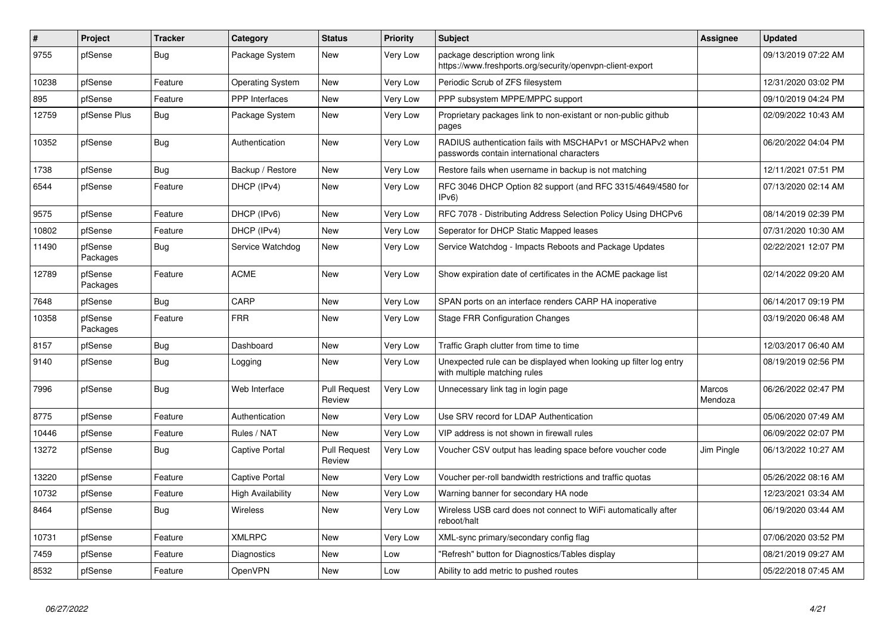| #     | Project             | <b>Tracker</b> | Category                 | <b>Status</b>                 | Priority        | <b>Subject</b>                                                                                           | <b>Assignee</b>   | <b>Updated</b>      |
|-------|---------------------|----------------|--------------------------|-------------------------------|-----------------|----------------------------------------------------------------------------------------------------------|-------------------|---------------------|
| 9755  | pfSense             | Bug            | Package System           | New                           | Very Low        | package description wrong link<br>https://www.freshports.org/security/openvpn-client-export              |                   | 09/13/2019 07:22 AM |
| 10238 | pfSense             | Feature        | <b>Operating System</b>  | <b>New</b>                    | Very Low        | Periodic Scrub of ZFS filesystem                                                                         |                   | 12/31/2020 03:02 PM |
| 895   | pfSense             | Feature        | <b>PPP</b> Interfaces    | <b>New</b>                    | Very Low        | PPP subsystem MPPE/MPPC support                                                                          |                   | 09/10/2019 04:24 PM |
| 12759 | pfSense Plus        | Bug            | Package System           | <b>New</b>                    | Very Low        | Proprietary packages link to non-existant or non-public github<br>pages                                  |                   | 02/09/2022 10:43 AM |
| 10352 | pfSense             | Bug            | Authentication           | <b>New</b>                    | <b>Very Low</b> | RADIUS authentication fails with MSCHAPv1 or MSCHAPv2 when<br>passwords contain international characters |                   | 06/20/2022 04:04 PM |
| 1738  | pfSense             | <b>Bug</b>     | Backup / Restore         | <b>New</b>                    | Very Low        | Restore fails when username in backup is not matching                                                    |                   | 12/11/2021 07:51 PM |
| 6544  | pfSense             | Feature        | DHCP (IPv4)              | <b>New</b>                    | Very Low        | RFC 3046 DHCP Option 82 support (and RFC 3315/4649/4580 for<br>IPv6                                      |                   | 07/13/2020 02:14 AM |
| 9575  | pfSense             | Feature        | DHCP (IPv6)              | <b>New</b>                    | Very Low        | RFC 7078 - Distributing Address Selection Policy Using DHCPv6                                            |                   | 08/14/2019 02:39 PM |
| 10802 | pfSense             | Feature        | DHCP (IPv4)              | <b>New</b>                    | Very Low        | Seperator for DHCP Static Mapped leases                                                                  |                   | 07/31/2020 10:30 AM |
| 11490 | pfSense<br>Packages | <b>Bug</b>     | Service Watchdog         | <b>New</b>                    | Very Low        | Service Watchdog - Impacts Reboots and Package Updates                                                   |                   | 02/22/2021 12:07 PM |
| 12789 | pfSense<br>Packages | Feature        | <b>ACME</b>              | <b>New</b>                    | Very Low        | Show expiration date of certificates in the ACME package list                                            |                   | 02/14/2022 09:20 AM |
| 7648  | pfSense             | <b>Bug</b>     | CARP                     | <b>New</b>                    | Very Low        | SPAN ports on an interface renders CARP HA inoperative                                                   |                   | 06/14/2017 09:19 PM |
| 10358 | pfSense<br>Packages | Feature        | <b>FRR</b>               | <b>New</b>                    | Very Low        | <b>Stage FRR Configuration Changes</b>                                                                   |                   | 03/19/2020 06:48 AM |
| 8157  | pfSense             | <b>Bug</b>     | Dashboard                | <b>New</b>                    | Very Low        | Traffic Graph clutter from time to time                                                                  |                   | 12/03/2017 06:40 AM |
| 9140  | pfSense             | Bug            | Logging                  | New                           | Very Low        | Unexpected rule can be displayed when looking up filter log entry<br>with multiple matching rules        |                   | 08/19/2019 02:56 PM |
| 7996  | pfSense             | Bug            | Web Interface            | <b>Pull Request</b><br>Review | <b>Very Low</b> | Unnecessary link tag in login page                                                                       | Marcos<br>Mendoza | 06/26/2022 02:47 PM |
| 8775  | pfSense             | Feature        | Authentication           | <b>New</b>                    | <b>Very Low</b> | Use SRV record for LDAP Authentication                                                                   |                   | 05/06/2020 07:49 AM |
| 10446 | pfSense             | Feature        | Rules / NAT              | <b>New</b>                    | Very Low        | VIP address is not shown in firewall rules                                                               |                   | 06/09/2022 02:07 PM |
| 13272 | pfSense             | Bug            | <b>Captive Portal</b>    | <b>Pull Request</b><br>Review | Very Low        | Voucher CSV output has leading space before voucher code                                                 | Jim Pingle        | 06/13/2022 10:27 AM |
| 13220 | pfSense             | Feature        | Captive Portal           | <b>New</b>                    | Very Low        | Voucher per-roll bandwidth restrictions and traffic quotas                                               |                   | 05/26/2022 08:16 AM |
| 10732 | pfSense             | Feature        | <b>High Availability</b> | <b>New</b>                    | Very Low        | Warning banner for secondary HA node                                                                     |                   | 12/23/2021 03:34 AM |
| 8464  | pfSense             | <b>Bug</b>     | <b>Wireless</b>          | <b>New</b>                    | <b>Very Low</b> | Wireless USB card does not connect to WiFi automatically after<br>reboot/halt                            |                   | 06/19/2020 03:44 AM |
| 10731 | pfSense             | Feature        | <b>XMLRPC</b>            | <b>New</b>                    | Very Low        | XML-sync primary/secondary config flag                                                                   |                   | 07/06/2020 03:52 PM |
| 7459  | pfSense             | Feature        | Diagnostics              | <b>New</b>                    | Low             | 'Refresh" button for Diagnostics/Tables display                                                          |                   | 08/21/2019 09:27 AM |
| 8532  | pfSense             | Feature        | OpenVPN                  | <b>New</b>                    | Low             | Ability to add metric to pushed routes                                                                   |                   | 05/22/2018 07:45 AM |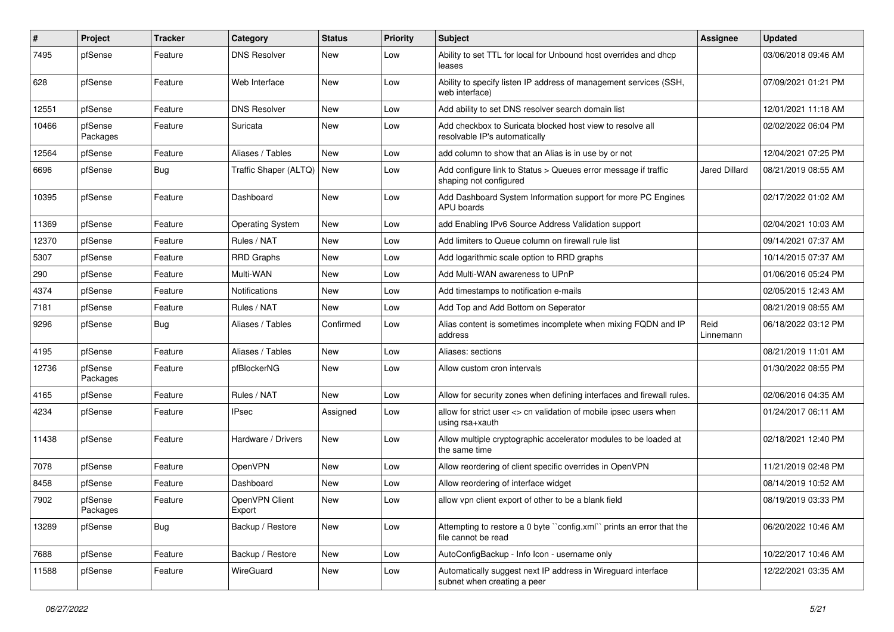| $\sharp$ | <b>Project</b>      | <b>Tracker</b> | Category                  | <b>Status</b> | <b>Priority</b> | <b>Subject</b>                                                                              | <b>Assignee</b>   | <b>Updated</b>      |
|----------|---------------------|----------------|---------------------------|---------------|-----------------|---------------------------------------------------------------------------------------------|-------------------|---------------------|
| 7495     | pfSense             | Feature        | <b>DNS Resolver</b>       | New           | Low             | Ability to set TTL for local for Unbound host overrides and dhcp<br>leases                  |                   | 03/06/2018 09:46 AM |
| 628      | pfSense             | Feature        | Web Interface             | <b>New</b>    | Low             | Ability to specify listen IP address of management services (SSH,<br>web interface)         |                   | 07/09/2021 01:21 PM |
| 12551    | pfSense             | Feature        | <b>DNS Resolver</b>       | <b>New</b>    | Low             | Add ability to set DNS resolver search domain list                                          |                   | 12/01/2021 11:18 AM |
| 10466    | pfSense<br>Packages | Feature        | Suricata                  | New           | Low             | Add checkbox to Suricata blocked host view to resolve all<br>resolvable IP's automatically  |                   | 02/02/2022 06:04 PM |
| 12564    | pfSense             | Feature        | Aliases / Tables          | <b>New</b>    | Low             | add column to show that an Alias is in use by or not                                        |                   | 12/04/2021 07:25 PM |
| 6696     | pfSense             | Bug            | Traffic Shaper (ALTQ) New |               | Low             | Add configure link to Status > Queues error message if traffic<br>shaping not configured    | Jared Dillard     | 08/21/2019 08:55 AM |
| 10395    | pfSense             | Feature        | Dashboard                 | <b>New</b>    | Low             | Add Dashboard System Information support for more PC Engines<br>APU boards                  |                   | 02/17/2022 01:02 AM |
| 11369    | pfSense             | Feature        | <b>Operating System</b>   | <b>New</b>    | Low             | add Enabling IPv6 Source Address Validation support                                         |                   | 02/04/2021 10:03 AM |
| 12370    | pfSense             | Feature        | Rules / NAT               | New           | Low             | Add limiters to Queue column on firewall rule list                                          |                   | 09/14/2021 07:37 AM |
| 5307     | pfSense             | Feature        | <b>RRD Graphs</b>         | New           | Low             | Add logarithmic scale option to RRD graphs                                                  |                   | 10/14/2015 07:37 AM |
| 290      | pfSense             | Feature        | Multi-WAN                 | <b>New</b>    | Low             | Add Multi-WAN awareness to UPnP                                                             |                   | 01/06/2016 05:24 PM |
| 4374     | pfSense             | Feature        | Notifications             | New           | Low             | Add timestamps to notification e-mails                                                      |                   | 02/05/2015 12:43 AM |
| 7181     | pfSense             | Feature        | Rules / NAT               | <b>New</b>    | Low             | Add Top and Add Bottom on Seperator                                                         |                   | 08/21/2019 08:55 AM |
| 9296     | pfSense             | Bug            | Aliases / Tables          | Confirmed     | Low             | Alias content is sometimes incomplete when mixing FQDN and IP<br>address                    | Reid<br>Linnemann | 06/18/2022 03:12 PM |
| 4195     | pfSense             | Feature        | Aliases / Tables          | <b>New</b>    | Low             | Aliases: sections                                                                           |                   | 08/21/2019 11:01 AM |
| 12736    | pfSense<br>Packages | Feature        | pfBlockerNG               | New           | Low             | Allow custom cron intervals                                                                 |                   | 01/30/2022 08:55 PM |
| 4165     | pfSense             | Feature        | Rules / NAT               | <b>New</b>    | Low             | Allow for security zones when defining interfaces and firewall rules.                       |                   | 02/06/2016 04:35 AM |
| 4234     | pfSense             | Feature        | <b>IPsec</b>              | Assigned      | Low             | allow for strict user <> cn validation of mobile ipsec users when<br>using rsa+xauth        |                   | 01/24/2017 06:11 AM |
| 11438    | pfSense             | Feature        | Hardware / Drivers        | New           | Low             | Allow multiple cryptographic accelerator modules to be loaded at<br>the same time           |                   | 02/18/2021 12:40 PM |
| 7078     | pfSense             | Feature        | OpenVPN                   | <b>New</b>    | Low             | Allow reordering of client specific overrides in OpenVPN                                    |                   | 11/21/2019 02:48 PM |
| 8458     | pfSense             | Feature        | Dashboard                 | New           | Low             | Allow reordering of interface widget                                                        |                   | 08/14/2019 10:52 AM |
| 7902     | pfSense<br>Packages | Feature        | OpenVPN Client<br>Export  | New           | Low             | allow vpn client export of other to be a blank field                                        |                   | 08/19/2019 03:33 PM |
| 13289    | pfSense             | <b>Bug</b>     | Backup / Restore          | New           | Low             | Attempting to restore a 0 byte "config.xml" prints an error that the<br>file cannot be read |                   | 06/20/2022 10:46 AM |
| 7688     | pfSense             | Feature        | Backup / Restore          | New           | Low             | AutoConfigBackup - Info Icon - username only                                                |                   | 10/22/2017 10:46 AM |
| 11588    | pfSense             | Feature        | WireGuard                 | New           | Low             | Automatically suggest next IP address in Wireguard interface<br>subnet when creating a peer |                   | 12/22/2021 03:35 AM |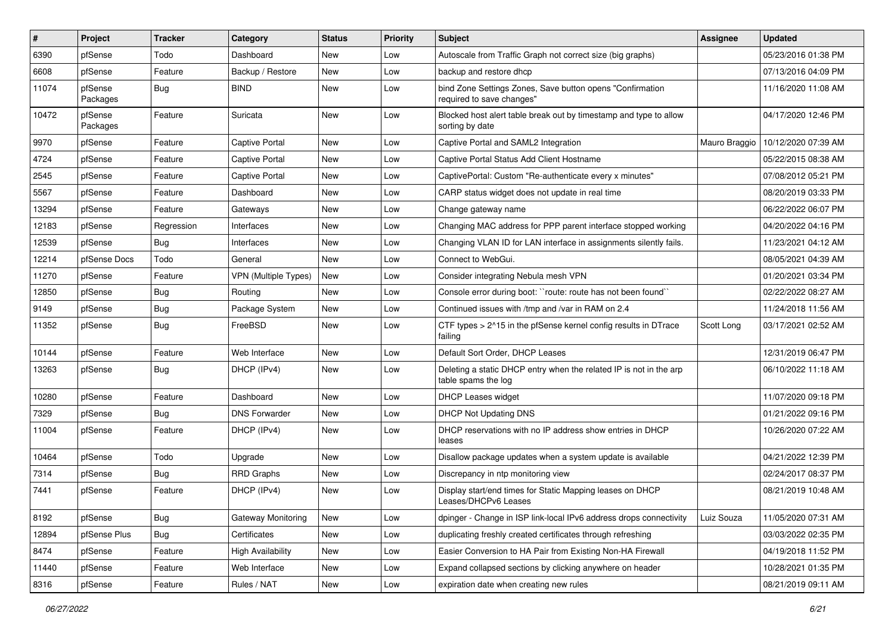| #     | Project             | <b>Tracker</b> | Category                    | <b>Status</b> | <b>Priority</b> | Subject                                                                                   | <b>Assignee</b> | <b>Updated</b>      |
|-------|---------------------|----------------|-----------------------------|---------------|-----------------|-------------------------------------------------------------------------------------------|-----------------|---------------------|
| 6390  | pfSense             | Todo           | Dashboard                   | New           | Low             | Autoscale from Traffic Graph not correct size (big graphs)                                |                 | 05/23/2016 01:38 PM |
| 6608  | pfSense             | Feature        | Backup / Restore            | New           | Low             | backup and restore dhcp                                                                   |                 | 07/13/2016 04:09 PM |
| 11074 | pfSense<br>Packages | Bug            | <b>BIND</b>                 | New           | Low             | bind Zone Settings Zones, Save button opens "Confirmation<br>required to save changes"    |                 | 11/16/2020 11:08 AM |
| 10472 | pfSense<br>Packages | Feature        | Suricata                    | New           | Low             | Blocked host alert table break out by timestamp and type to allow<br>sorting by date      |                 | 04/17/2020 12:46 PM |
| 9970  | pfSense             | Feature        | <b>Captive Portal</b>       | New           | Low             | Captive Portal and SAML2 Integration                                                      | Mauro Braggio   | 10/12/2020 07:39 AM |
| 4724  | pfSense             | Feature        | <b>Captive Portal</b>       | <b>New</b>    | Low             | Captive Portal Status Add Client Hostname                                                 |                 | 05/22/2015 08:38 AM |
| 2545  | pfSense             | Feature        | <b>Captive Portal</b>       | New           | Low             | CaptivePortal: Custom "Re-authenticate every x minutes"                                   |                 | 07/08/2012 05:21 PM |
| 5567  | pfSense             | Feature        | Dashboard                   | <b>New</b>    | Low             | CARP status widget does not update in real time                                           |                 | 08/20/2019 03:33 PM |
| 13294 | pfSense             | Feature        | Gateways                    | New           | Low             | Change gateway name                                                                       |                 | 06/22/2022 06:07 PM |
| 12183 | pfSense             | Regression     | Interfaces                  | New           | Low             | Changing MAC address for PPP parent interface stopped working                             |                 | 04/20/2022 04:16 PM |
| 12539 | pfSense             | Bug            | Interfaces                  | New           | Low             | Changing VLAN ID for LAN interface in assignments silently fails.                         |                 | 11/23/2021 04:12 AM |
| 12214 | pfSense Docs        | Todo           | General                     | New           | Low             | Connect to WebGui.                                                                        |                 | 08/05/2021 04:39 AM |
| 11270 | pfSense             | Feature        | <b>VPN</b> (Multiple Types) | New           | Low             | Consider integrating Nebula mesh VPN                                                      |                 | 01/20/2021 03:34 PM |
| 12850 | pfSense             | Bug            | Routing                     | <b>New</b>    | Low             | Console error during boot: "route: route has not been found"                              |                 | 02/22/2022 08:27 AM |
| 9149  | pfSense             | Bug            | Package System              | New           | Low             | Continued issues with /tmp and /var in RAM on 2.4                                         |                 | 11/24/2018 11:56 AM |
| 11352 | pfSense             | <b>Bug</b>     | FreeBSD                     | <b>New</b>    | Low             | CTF types > 2^15 in the pfSense kernel config results in DTrace<br>failing                | Scott Long      | 03/17/2021 02:52 AM |
| 10144 | pfSense             | Feature        | Web Interface               | <b>New</b>    | Low             | Default Sort Order, DHCP Leases                                                           |                 | 12/31/2019 06:47 PM |
| 13263 | pfSense             | <b>Bug</b>     | DHCP (IPv4)                 | New           | Low             | Deleting a static DHCP entry when the related IP is not in the arp<br>table spams the log |                 | 06/10/2022 11:18 AM |
| 10280 | pfSense             | Feature        | Dashboard                   | <b>New</b>    | Low             | DHCP Leases widget                                                                        |                 | 11/07/2020 09:18 PM |
| 7329  | pfSense             | Bug            | <b>DNS Forwarder</b>        | <b>New</b>    | Low             | <b>DHCP Not Updating DNS</b>                                                              |                 | 01/21/2022 09:16 PM |
| 11004 | pfSense             | Feature        | DHCP (IPv4)                 | New           | Low             | DHCP reservations with no IP address show entries in DHCP<br>leases                       |                 | 10/26/2020 07:22 AM |
| 10464 | pfSense             | Todo           | Upgrade                     | New           | Low             | Disallow package updates when a system update is available                                |                 | 04/21/2022 12:39 PM |
| 7314  | pfSense             | Bug            | RRD Graphs                  | New           | Low             | Discrepancy in ntp monitoring view                                                        |                 | 02/24/2017 08:37 PM |
| 7441  | pfSense             | Feature        | DHCP (IPv4)                 | <b>New</b>    | Low             | Display start/end times for Static Mapping leases on DHCP<br>Leases/DHCPv6 Leases         |                 | 08/21/2019 10:48 AM |
| 8192  | pfSense             | <b>Bug</b>     | <b>Gateway Monitoring</b>   | New           | Low             | dpinger - Change in ISP link-local IPv6 address drops connectivity                        | Luiz Souza      | 11/05/2020 07:31 AM |
| 12894 | pfSense Plus        | Bug            | Certificates                | New           | Low             | duplicating freshly created certificates through refreshing                               |                 | 03/03/2022 02:35 PM |
| 8474  | pfSense             | Feature        | <b>High Availability</b>    | New           | Low             | Easier Conversion to HA Pair from Existing Non-HA Firewall                                |                 | 04/19/2018 11:52 PM |
| 11440 | pfSense             | Feature        | Web Interface               | New           | Low             | Expand collapsed sections by clicking anywhere on header                                  |                 | 10/28/2021 01:35 PM |
| 8316  | pfSense             | Feature        | Rules / NAT                 | New           | Low             | expiration date when creating new rules                                                   |                 | 08/21/2019 09:11 AM |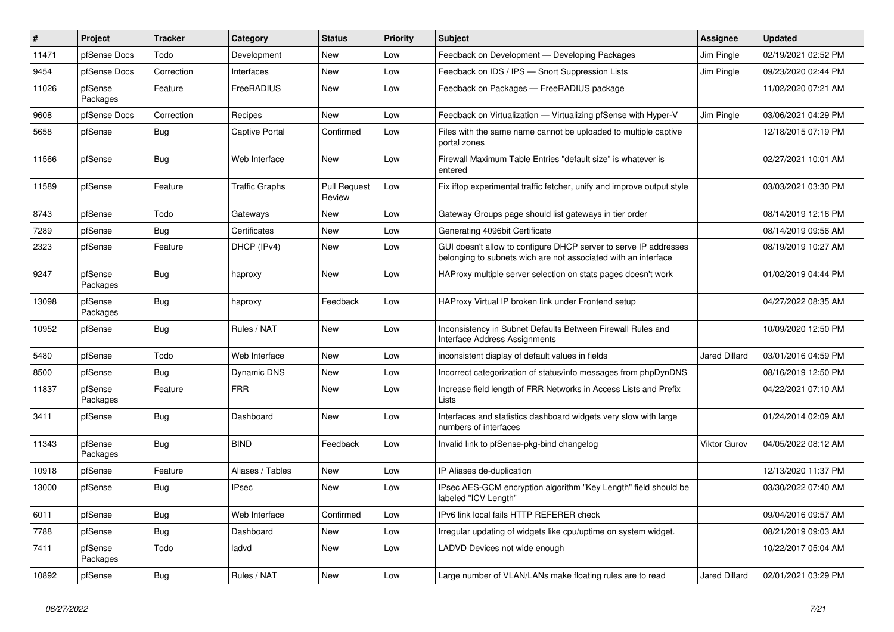| $\vert$ # | Project             | Tracker    | Category              | <b>Status</b>                 | <b>Priority</b> | <b>Subject</b>                                                                                                                     | Assignee             | <b>Updated</b>      |
|-----------|---------------------|------------|-----------------------|-------------------------------|-----------------|------------------------------------------------------------------------------------------------------------------------------------|----------------------|---------------------|
| 11471     | pfSense Docs        | Todo       | Development           | <b>New</b>                    | Low             | Feedback on Development - Developing Packages                                                                                      | Jim Pingle           | 02/19/2021 02:52 PM |
| 9454      | pfSense Docs        | Correction | Interfaces            | <b>New</b>                    | Low             | Feedback on IDS / IPS - Snort Suppression Lists                                                                                    | Jim Pingle           | 09/23/2020 02:44 PM |
| 11026     | pfSense<br>Packages | Feature    | FreeRADIUS            | New                           | Low             | Feedback on Packages — FreeRADIUS package                                                                                          |                      | 11/02/2020 07:21 AM |
| 9608      | pfSense Docs        | Correction | Recipes               | <b>New</b>                    | Low             | Feedback on Virtualization - Virtualizing pfSense with Hyper-V                                                                     | Jim Pingle           | 03/06/2021 04:29 PM |
| 5658      | pfSense             | <b>Bug</b> | Captive Portal        | Confirmed                     | Low             | Files with the same name cannot be uploaded to multiple captive<br>portal zones                                                    |                      | 12/18/2015 07:19 PM |
| 11566     | pfSense             | Bug        | Web Interface         | New                           | Low             | Firewall Maximum Table Entries "default size" is whatever is<br>entered                                                            |                      | 02/27/2021 10:01 AM |
| 11589     | pfSense             | Feature    | <b>Traffic Graphs</b> | <b>Pull Request</b><br>Review | Low             | Fix iftop experimental traffic fetcher, unify and improve output style                                                             |                      | 03/03/2021 03:30 PM |
| 8743      | pfSense             | Todo       | Gateways              | <b>New</b>                    | Low             | Gateway Groups page should list gateways in tier order                                                                             |                      | 08/14/2019 12:16 PM |
| 7289      | pfSense             | <b>Bug</b> | Certificates          | New                           | Low             | Generating 4096bit Certificate                                                                                                     |                      | 08/14/2019 09:56 AM |
| 2323      | pfSense             | Feature    | DHCP (IPv4)           | New                           | Low             | GUI doesn't allow to configure DHCP server to serve IP addresses<br>belonging to subnets wich are not associated with an interface |                      | 08/19/2019 10:27 AM |
| 9247      | pfSense<br>Packages | <b>Bug</b> | haproxy               | <b>New</b>                    | Low             | HAProxy multiple server selection on stats pages doesn't work                                                                      |                      | 01/02/2019 04:44 PM |
| 13098     | pfSense<br>Packages | <b>Bug</b> | haproxy               | Feedback                      | Low             | HAProxy Virtual IP broken link under Frontend setup                                                                                |                      | 04/27/2022 08:35 AM |
| 10952     | pfSense             | Bug        | Rules / NAT           | New                           | Low             | Inconsistency in Subnet Defaults Between Firewall Rules and<br><b>Interface Address Assignments</b>                                |                      | 10/09/2020 12:50 PM |
| 5480      | pfSense             | Todo       | Web Interface         | <b>New</b>                    | Low             | inconsistent display of default values in fields                                                                                   | <b>Jared Dillard</b> | 03/01/2016 04:59 PM |
| 8500      | pfSense             | Bug        | <b>Dynamic DNS</b>    | <b>New</b>                    | Low             | Incorrect categorization of status/info messages from phpDynDNS                                                                    |                      | 08/16/2019 12:50 PM |
| 11837     | pfSense<br>Packages | Feature    | <b>FRR</b>            | <b>New</b>                    | Low             | Increase field length of FRR Networks in Access Lists and Prefix<br>Lists                                                          |                      | 04/22/2021 07:10 AM |
| 3411      | pfSense             | Bug        | Dashboard             | <b>New</b>                    | Low             | Interfaces and statistics dashboard widgets very slow with large<br>numbers of interfaces                                          |                      | 01/24/2014 02:09 AM |
| 11343     | pfSense<br>Packages | <b>Bug</b> | <b>BIND</b>           | Feedback                      | Low             | Invalid link to pfSense-pkg-bind changelog                                                                                         | <b>Viktor Gurov</b>  | 04/05/2022 08:12 AM |
| 10918     | pfSense             | Feature    | Aliases / Tables      | New                           | Low             | IP Aliases de-duplication                                                                                                          |                      | 12/13/2020 11:37 PM |
| 13000     | pfSense             | <b>Bug</b> | <b>IPsec</b>          | New                           | Low             | IPsec AES-GCM encryption algorithm "Key Length" field should be<br>labeled "ICV Length"                                            |                      | 03/30/2022 07:40 AM |
| 6011      | pfSense             | <b>Bug</b> | Web Interface         | Confirmed                     | Low             | IPv6 link local fails HTTP REFERER check                                                                                           |                      | 09/04/2016 09:57 AM |
| 7788      | pfSense             | <b>Bug</b> | Dashboard             | <b>New</b>                    | Low             | Irregular updating of widgets like cpu/uptime on system widget.                                                                    |                      | 08/21/2019 09:03 AM |
| 7411      | pfSense<br>Packages | Todo       | ladvd                 | New                           | Low             | LADVD Devices not wide enough                                                                                                      |                      | 10/22/2017 05:04 AM |
| 10892     | pfSense             | Bug        | Rules / NAT           | New                           | Low             | Large number of VLAN/LANs make floating rules are to read                                                                          | <b>Jared Dillard</b> | 02/01/2021 03:29 PM |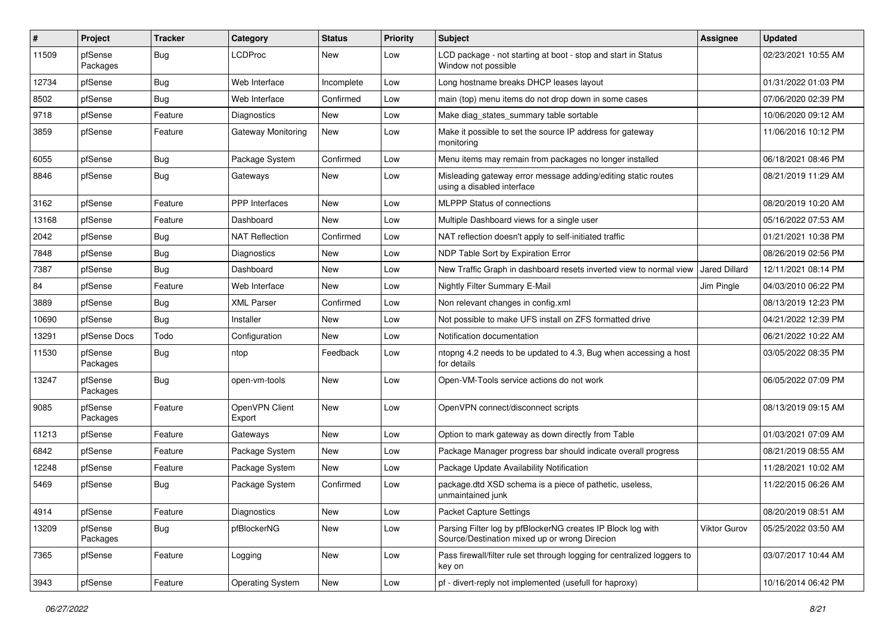| $\vert$ # | Project             | <b>Tracker</b> | Category                 | <b>Status</b> | <b>Priority</b> | <b>Subject</b>                                                                                               | <b>Assignee</b>     | <b>Updated</b>      |
|-----------|---------------------|----------------|--------------------------|---------------|-----------------|--------------------------------------------------------------------------------------------------------------|---------------------|---------------------|
| 11509     | pfSense<br>Packages | Bug            | <b>LCDProc</b>           | New           | Low             | LCD package - not starting at boot - stop and start in Status<br>Window not possible                         |                     | 02/23/2021 10:55 AM |
| 12734     | pfSense             | Bug            | Web Interface            | Incomplete    | Low             | Long hostname breaks DHCP leases layout                                                                      |                     | 01/31/2022 01:03 PM |
| 8502      | pfSense             | Bug            | Web Interface            | Confirmed     | Low             | main (top) menu items do not drop down in some cases                                                         |                     | 07/06/2020 02:39 PM |
| 9718      | pfSense             | Feature        | <b>Diagnostics</b>       | <b>New</b>    | Low             | Make diag_states_summary table sortable                                                                      |                     | 10/06/2020 09:12 AM |
| 3859      | pfSense             | Feature        | Gateway Monitoring       | New           | Low             | Make it possible to set the source IP address for gateway<br>monitoring                                      |                     | 11/06/2016 10:12 PM |
| 6055      | pfSense             | Bug            | Package System           | Confirmed     | Low             | Menu items may remain from packages no longer installed                                                      |                     | 06/18/2021 08:46 PM |
| 8846      | pfSense             | Bug            | Gateways                 | <b>New</b>    | Low             | Misleading gateway error message adding/editing static routes<br>using a disabled interface                  |                     | 08/21/2019 11:29 AM |
| 3162      | pfSense             | Feature        | PPP Interfaces           | New           | Low             | <b>MLPPP Status of connections</b>                                                                           |                     | 08/20/2019 10:20 AM |
| 13168     | pfSense             | Feature        | Dashboard                | <b>New</b>    | Low             | Multiple Dashboard views for a single user                                                                   |                     | 05/16/2022 07:53 AM |
| 2042      | pfSense             | <b>Bug</b>     | <b>NAT Reflection</b>    | Confirmed     | Low             | NAT reflection doesn't apply to self-initiated traffic                                                       |                     | 01/21/2021 10:38 PM |
| 7848      | pfSense             | Bug            | <b>Diagnostics</b>       | <b>New</b>    | Low             | NDP Table Sort by Expiration Error                                                                           |                     | 08/26/2019 02:56 PM |
| 7387      | pfSense             | Bug            | Dashboard                | <b>New</b>    | Low             | New Traffic Graph in dashboard resets inverted view to normal view                                           | Jared Dillard       | 12/11/2021 08:14 PM |
| 84        | pfSense             | Feature        | Web Interface            | New           | Low             | Nightly Filter Summary E-Mail                                                                                | Jim Pingle          | 04/03/2010 06:22 PM |
| 3889      | pfSense             | Bug            | <b>XML Parser</b>        | Confirmed     | Low             | Non relevant changes in config.xml                                                                           |                     | 08/13/2019 12:23 PM |
| 10690     | pfSense             | Bug            | Installer                | <b>New</b>    | Low             | Not possible to make UFS install on ZFS formatted drive                                                      |                     | 04/21/2022 12:39 PM |
| 13291     | pfSense Docs        | Todo           | Configuration            | New           | Low             | Notification documentation                                                                                   |                     | 06/21/2022 10:22 AM |
| 11530     | pfSense<br>Packages | Bug            | ntop                     | Feedback      | Low             | ntopng 4.2 needs to be updated to 4.3, Bug when accessing a host<br>for details                              |                     | 03/05/2022 08:35 PM |
| 13247     | pfSense<br>Packages | Bug            | open-vm-tools            | <b>New</b>    | Low             | Open-VM-Tools service actions do not work                                                                    |                     | 06/05/2022 07:09 PM |
| 9085      | pfSense<br>Packages | Feature        | OpenVPN Client<br>Export | New           | Low             | OpenVPN connect/disconnect scripts                                                                           |                     | 08/13/2019 09:15 AM |
| 11213     | pfSense             | Feature        | Gateways                 | <b>New</b>    | Low             | Option to mark gateway as down directly from Table                                                           |                     | 01/03/2021 07:09 AM |
| 6842      | pfSense             | Feature        | Package System           | New           | Low             | Package Manager progress bar should indicate overall progress                                                |                     | 08/21/2019 08:55 AM |
| 12248     | pfSense             | Feature        | Package System           | <b>New</b>    | Low             | Package Update Availability Notification                                                                     |                     | 11/28/2021 10:02 AM |
| 5469      | pfSense             | Bug            | Package System           | Confirmed     | Low             | package.dtd XSD schema is a piece of pathetic, useless,<br>unmaintained junk                                 |                     | 11/22/2015 06:26 AM |
| 4914      | pfSense             | Feature        | Diagnostics              | New           | Low             | <b>Packet Capture Settings</b>                                                                               |                     | 08/20/2019 08:51 AM |
| 13209     | pfSense<br>Packages | Bug            | pfBlockerNG              | New           | Low             | Parsing Filter log by pfBlockerNG creates IP Block log with<br>Source/Destination mixed up or wrong Direcion | <b>Viktor Gurov</b> | 05/25/2022 03:50 AM |
| 7365      | pfSense             | Feature        | Logging                  | New           | Low             | Pass firewall/filter rule set through logging for centralized loggers to<br>key on                           |                     | 03/07/2017 10:44 AM |
| 3943      | pfSense             | Feature        | <b>Operating System</b>  | New           | Low             | pf - divert-reply not implemented (usefull for haproxy)                                                      |                     | 10/16/2014 06:42 PM |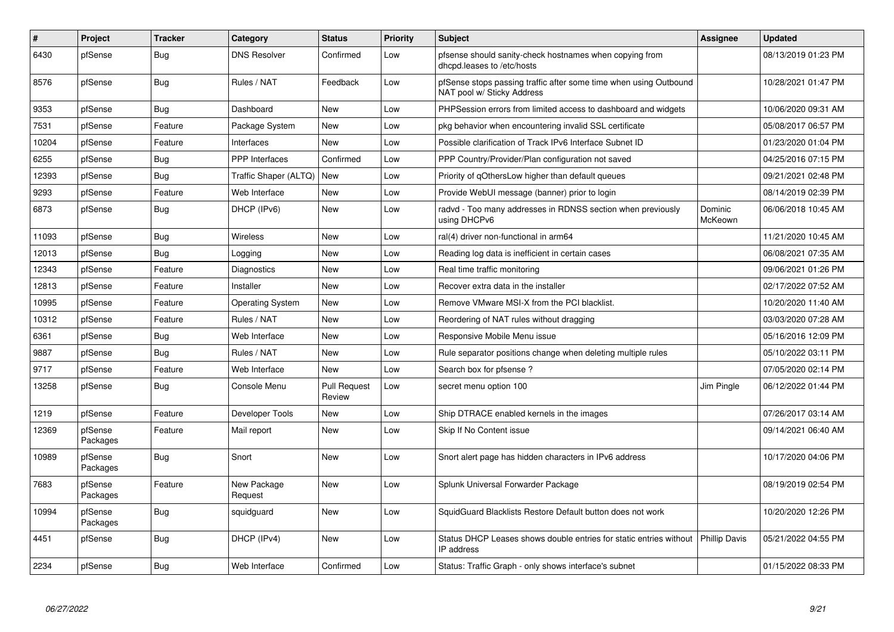| #     | Project             | <b>Tracker</b> | Category                    | <b>Status</b>                 | Priority | <b>Subject</b>                                                                                  | <b>Assignee</b>    | <b>Updated</b>      |
|-------|---------------------|----------------|-----------------------------|-------------------------------|----------|-------------------------------------------------------------------------------------------------|--------------------|---------------------|
| 6430  | pfSense             | <b>Bug</b>     | <b>DNS Resolver</b>         | Confirmed                     | Low      | pfsense should sanity-check hostnames when copying from<br>dhcpd.leases to /etc/hosts           |                    | 08/13/2019 01:23 PM |
| 8576  | pfSense             | Bug            | Rules / NAT                 | Feedback                      | Low      | pfSense stops passing traffic after some time when using Outbound<br>NAT pool w/ Sticky Address |                    | 10/28/2021 01:47 PM |
| 9353  | pfSense             | <b>Bug</b>     | Dashboard                   | <b>New</b>                    | Low      | PHPSession errors from limited access to dashboard and widgets                                  |                    | 10/06/2020 09:31 AM |
| 7531  | pfSense             | Feature        | Package System              | <b>New</b>                    | Low      | pkg behavior when encountering invalid SSL certificate                                          |                    | 05/08/2017 06:57 PM |
| 10204 | pfSense             | Feature        | Interfaces                  | <b>New</b>                    | Low      | Possible clarification of Track IPv6 Interface Subnet ID                                        |                    | 01/23/2020 01:04 PM |
| 6255  | pfSense             | Bug            | <b>PPP</b> Interfaces       | Confirmed                     | Low      | PPP Country/Provider/Plan configuration not saved                                               |                    | 04/25/2016 07:15 PM |
| 12393 | pfSense             | Bug            | Traffic Shaper (ALTQ)   New |                               | Low      | Priority of gOthersLow higher than default queues                                               |                    | 09/21/2021 02:48 PM |
| 9293  | pfSense             | Feature        | Web Interface               | <b>New</b>                    | Low      | Provide WebUI message (banner) prior to login                                                   |                    | 08/14/2019 02:39 PM |
| 6873  | pfSense             | Bug            | DHCP (IPv6)                 | <b>New</b>                    | Low      | radvd - Too many addresses in RDNSS section when previously<br>using DHCPv6                     | Dominic<br>McKeown | 06/06/2018 10:45 AM |
| 11093 | pfSense             | Bug            | <b>Wireless</b>             | <b>New</b>                    | Low      | ral(4) driver non-functional in arm64                                                           |                    | 11/21/2020 10:45 AM |
| 12013 | pfSense             | Bug            | Logging                     | <b>New</b>                    | Low      | Reading log data is inefficient in certain cases                                                |                    | 06/08/2021 07:35 AM |
| 12343 | pfSense             | Feature        | Diagnostics                 | <b>New</b>                    | Low      | Real time traffic monitoring                                                                    |                    | 09/06/2021 01:26 PM |
| 12813 | pfSense             | Feature        | Installer                   | <b>New</b>                    | Low      | Recover extra data in the installer                                                             |                    | 02/17/2022 07:52 AM |
| 10995 | pfSense             | Feature        | <b>Operating System</b>     | <b>New</b>                    | Low      | Remove VMware MSI-X from the PCI blacklist.                                                     |                    | 10/20/2020 11:40 AM |
| 10312 | pfSense             | Feature        | Rules / NAT                 | <b>New</b>                    | Low      | Reordering of NAT rules without dragging                                                        |                    | 03/03/2020 07:28 AM |
| 6361  | pfSense             | Bug            | Web Interface               | New                           | Low      | Responsive Mobile Menu issue                                                                    |                    | 05/16/2016 12:09 PM |
| 9887  | pfSense             | <b>Bug</b>     | Rules / NAT                 | <b>New</b>                    | Low      | Rule separator positions change when deleting multiple rules                                    |                    | 05/10/2022 03:11 PM |
| 9717  | pfSense             | Feature        | Web Interface               | New                           | Low      | Search box for pfsense?                                                                         |                    | 07/05/2020 02:14 PM |
| 13258 | pfSense             | Bug            | Console Menu                | <b>Pull Request</b><br>Review | Low      | secret menu option 100                                                                          | Jim Pingle         | 06/12/2022 01:44 PM |
| 1219  | pfSense             | Feature        | Developer Tools             | <b>New</b>                    | Low      | Ship DTRACE enabled kernels in the images                                                       |                    | 07/26/2017 03:14 AM |
| 12369 | pfSense<br>Packages | Feature        | Mail report                 | <b>New</b>                    | Low      | Skip If No Content issue                                                                        |                    | 09/14/2021 06:40 AM |
| 10989 | pfSense<br>Packages | <b>Bug</b>     | Snort                       | <b>New</b>                    | Low      | Snort alert page has hidden characters in IPv6 address                                          |                    | 10/17/2020 04:06 PM |
| 7683  | pfSense<br>Packages | Feature        | New Package<br>Request      | <b>New</b>                    | Low      | Splunk Universal Forwarder Package                                                              |                    | 08/19/2019 02:54 PM |
| 10994 | pfSense<br>Packages | <b>Bug</b>     | squidguard                  | <b>New</b>                    | Low      | SquidGuard Blacklists Restore Default button does not work                                      |                    | 10/20/2020 12:26 PM |
| 4451  | pfSense             | Bug            | DHCP (IPv4)                 | New                           | Low      | Status DHCP Leases shows double entries for static entries without<br>IP address                | Phillip Davis      | 05/21/2022 04:55 PM |
| 2234  | pfSense             | Bug            | Web Interface               | Confirmed                     | Low      | Status: Traffic Graph - only shows interface's subnet                                           |                    | 01/15/2022 08:33 PM |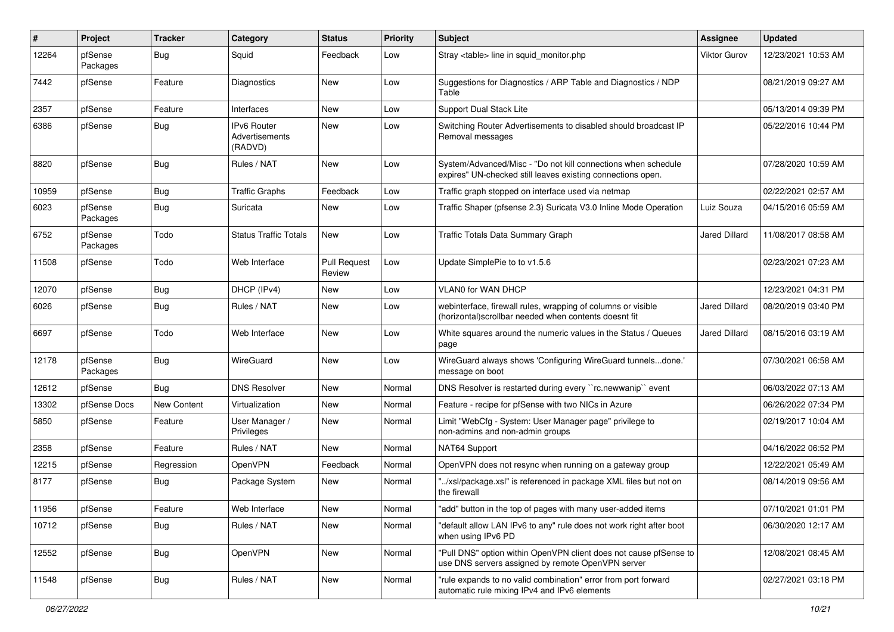| $\vert$ # | Project             | <b>Tracker</b> | Category                                 | <b>Status</b>                 | <b>Priority</b> | <b>Subject</b>                                                                                                               | <b>Assignee</b>      | <b>Updated</b>      |
|-----------|---------------------|----------------|------------------------------------------|-------------------------------|-----------------|------------------------------------------------------------------------------------------------------------------------------|----------------------|---------------------|
| 12264     | pfSense<br>Packages | Bug            | Squid                                    | Feedback                      | Low             | Stray <table> line in squid monitor.php</table>                                                                              | <b>Viktor Gurov</b>  | 12/23/2021 10:53 AM |
| 7442      | pfSense             | Feature        | <b>Diagnostics</b>                       | New                           | Low             | Suggestions for Diagnostics / ARP Table and Diagnostics / NDP<br>Table                                                       |                      | 08/21/2019 09:27 AM |
| 2357      | pfSense             | Feature        | Interfaces                               | New                           | Low             | Support Dual Stack Lite                                                                                                      |                      | 05/13/2014 09:39 PM |
| 6386      | pfSense             | Bug            | IPv6 Router<br>Advertisements<br>(RADVD) | <b>New</b>                    | Low             | Switching Router Advertisements to disabled should broadcast IP<br>Removal messages                                          |                      | 05/22/2016 10:44 PM |
| 8820      | pfSense             | Bug            | Rules / NAT                              | New                           | Low             | System/Advanced/Misc - "Do not kill connections when schedule<br>expires" UN-checked still leaves existing connections open. |                      | 07/28/2020 10:59 AM |
| 10959     | pfSense             | Bug            | <b>Traffic Graphs</b>                    | Feedback                      | Low             | Traffic graph stopped on interface used via netmap                                                                           |                      | 02/22/2021 02:57 AM |
| 6023      | pfSense<br>Packages | Bug            | Suricata                                 | New                           | Low             | Traffic Shaper (pfsense 2.3) Suricata V3.0 Inline Mode Operation                                                             | Luiz Souza           | 04/15/2016 05:59 AM |
| 6752      | pfSense<br>Packages | Todo           | <b>Status Traffic Totals</b>             | New                           | Low             | Traffic Totals Data Summary Graph                                                                                            | <b>Jared Dillard</b> | 11/08/2017 08:58 AM |
| 11508     | pfSense             | Todo           | Web Interface                            | <b>Pull Request</b><br>Review | Low             | Update SimplePie to to v1.5.6                                                                                                |                      | 02/23/2021 07:23 AM |
| 12070     | pfSense             | Bug            | DHCP (IPv4)                              | <b>New</b>                    | Low             | VLAN0 for WAN DHCP                                                                                                           |                      | 12/23/2021 04:31 PM |
| 6026      | pfSense             | Bug            | Rules / NAT                              | New                           | Low             | webinterface, firewall rules, wrapping of columns or visible<br>(horizontal) scrollbar needed when contents doesnt fit       | <b>Jared Dillard</b> | 08/20/2019 03:40 PM |
| 6697      | pfSense             | Todo           | Web Interface                            | New                           | Low             | White squares around the numeric values in the Status / Queues<br>page                                                       | <b>Jared Dillard</b> | 08/15/2016 03:19 AM |
| 12178     | pfSense<br>Packages | Bug            | WireGuard                                | New                           | Low             | WireGuard always shows 'Configuring WireGuard tunnelsdone.'<br>message on boot                                               |                      | 07/30/2021 06:58 AM |
| 12612     | pfSense             | Bug            | <b>DNS Resolver</b>                      | New                           | Normal          | DNS Resolver is restarted during every "rc.newwanip" event                                                                   |                      | 06/03/2022 07:13 AM |
| 13302     | pfSense Docs        | New Content    | Virtualization                           | New                           | Normal          | Feature - recipe for pfSense with two NICs in Azure                                                                          |                      | 06/26/2022 07:34 PM |
| 5850      | pfSense             | Feature        | User Manager /<br>Privileges             | New                           | Normal          | Limit "WebCfg - System: User Manager page" privilege to<br>non-admins and non-admin groups                                   |                      | 02/19/2017 10:04 AM |
| 2358      | pfSense             | Feature        | Rules / NAT                              | New                           | Normal          | NAT64 Support                                                                                                                |                      | 04/16/2022 06:52 PM |
| 12215     | pfSense             | Regression     | OpenVPN                                  | Feedback                      | Normal          | OpenVPN does not resync when running on a gateway group                                                                      |                      | 12/22/2021 05:49 AM |
| 8177      | pfSense             | Bug            | Package System                           | New                           | Normal          | /xsl/package.xsl" is referenced in package XML files but not on<br>the firewall                                              |                      | 08/14/2019 09:56 AM |
| 11956     | pfSense             | Feature        | Web Interface                            | New                           | Normal          | "add" button in the top of pages with many user-added items                                                                  |                      | 07/10/2021 01:01 PM |
| 10712     | pfSense             | Bug            | Rules / NAT                              | New                           | Normal          | "default allow LAN IPv6 to any" rule does not work right after boot<br>when using IPv6 PD                                    |                      | 06/30/2020 12:17 AM |
| 12552     | pfSense             | Bug            | OpenVPN                                  | New                           | Normal          | "Pull DNS" option within OpenVPN client does not cause pfSense to<br>use DNS servers assigned by remote OpenVPN server       |                      | 12/08/2021 08:45 AM |
| 11548     | pfSense             | Bug            | Rules / NAT                              | New                           | Normal          | "rule expands to no valid combination" error from port forward<br>automatic rule mixing IPv4 and IPv6 elements               |                      | 02/27/2021 03:18 PM |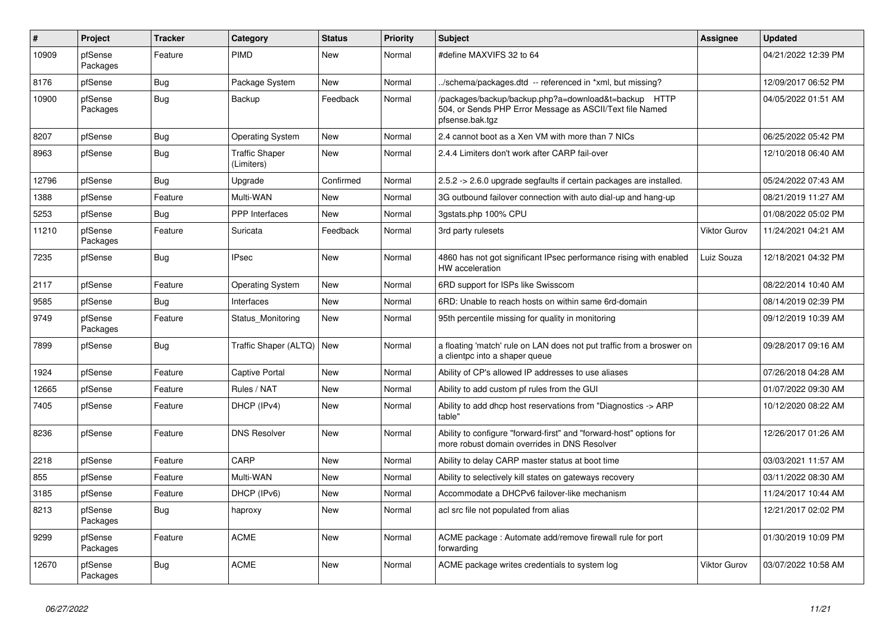| #     | Project             | <b>Tracker</b> | Category                            | <b>Status</b> | Priority | <b>Subject</b>                                                                                                                      | <b>Assignee</b>     | <b>Updated</b>      |
|-------|---------------------|----------------|-------------------------------------|---------------|----------|-------------------------------------------------------------------------------------------------------------------------------------|---------------------|---------------------|
| 10909 | pfSense<br>Packages | Feature        | <b>PIMD</b>                         | <b>New</b>    | Normal   | #define MAXVIFS 32 to 64                                                                                                            |                     | 04/21/2022 12:39 PM |
| 8176  | pfSense             | <b>Bug</b>     | Package System                      | <b>New</b>    | Normal   | ./schema/packages.dtd -- referenced in *xml, but missing?                                                                           |                     | 12/09/2017 06:52 PM |
| 10900 | pfSense<br>Packages | <b>Bug</b>     | Backup                              | Feedback      | Normal   | /packages/backup/backup.php?a=download&t=backup HTTP<br>504, or Sends PHP Error Message as ASCII/Text file Named<br>pfsense.bak.tgz |                     | 04/05/2022 01:51 AM |
| 8207  | pfSense             | <b>Bug</b>     | <b>Operating System</b>             | <b>New</b>    | Normal   | 2.4 cannot boot as a Xen VM with more than 7 NICs                                                                                   |                     | 06/25/2022 05:42 PM |
| 8963  | pfSense             | <b>Bug</b>     | <b>Traffic Shaper</b><br>(Limiters) | <b>New</b>    | Normal   | 2.4.4 Limiters don't work after CARP fail-over                                                                                      |                     | 12/10/2018 06:40 AM |
| 12796 | pfSense             | <b>Bug</b>     | Upgrade                             | Confirmed     | Normal   | 2.5.2 -> 2.6.0 upgrade segfaults if certain packages are installed.                                                                 |                     | 05/24/2022 07:43 AM |
| 1388  | pfSense             | Feature        | Multi-WAN                           | New           | Normal   | 3G outbound failover connection with auto dial-up and hang-up                                                                       |                     | 08/21/2019 11:27 AM |
| 5253  | pfSense             | <b>Bug</b>     | <b>PPP</b> Interfaces               | New           | Normal   | 3gstats.php 100% CPU                                                                                                                |                     | 01/08/2022 05:02 PM |
| 11210 | pfSense<br>Packages | Feature        | Suricata                            | Feedback      | Normal   | 3rd party rulesets                                                                                                                  | <b>Viktor Gurov</b> | 11/24/2021 04:21 AM |
| 7235  | pfSense             | Bug            | <b>IPsec</b>                        | <b>New</b>    | Normal   | 4860 has not got significant IPsec performance rising with enabled<br>HW acceleration                                               | Luiz Souza          | 12/18/2021 04:32 PM |
| 2117  | pfSense             | Feature        | Operating System                    | <b>New</b>    | Normal   | 6RD support for ISPs like Swisscom                                                                                                  |                     | 08/22/2014 10:40 AM |
| 9585  | pfSense             | <b>Bug</b>     | Interfaces                          | <b>New</b>    | Normal   | 6RD: Unable to reach hosts on within same 6rd-domain                                                                                |                     | 08/14/2019 02:39 PM |
| 9749  | pfSense<br>Packages | Feature        | Status Monitoring                   | New           | Normal   | 95th percentile missing for quality in monitoring                                                                                   |                     | 09/12/2019 10:39 AM |
| 7899  | pfSense             | <b>Bug</b>     | Traffic Shaper (ALTQ)   New         |               | Normal   | a floating 'match' rule on LAN does not put traffic from a broswer on<br>a clientpc into a shaper queue                             |                     | 09/28/2017 09:16 AM |
| 1924  | pfSense             | Feature        | <b>Captive Portal</b>               | <b>New</b>    | Normal   | Ability of CP's allowed IP addresses to use aliases                                                                                 |                     | 07/26/2018 04:28 AM |
| 12665 | pfSense             | Feature        | Rules / NAT                         | New           | Normal   | Ability to add custom pf rules from the GUI                                                                                         |                     | 01/07/2022 09:30 AM |
| 7405  | pfSense             | Feature        | DHCP (IPv4)                         | <b>New</b>    | Normal   | Ability to add dhcp host reservations from "Diagnostics -> ARP<br>table"                                                            |                     | 10/12/2020 08:22 AM |
| 8236  | pfSense             | Feature        | <b>DNS Resolver</b>                 | <b>New</b>    | Normal   | Ability to configure "forward-first" and "forward-host" options for<br>more robust domain overrides in DNS Resolver                 |                     | 12/26/2017 01:26 AM |
| 2218  | pfSense             | Feature        | CARP                                | <b>New</b>    | Normal   | Ability to delay CARP master status at boot time                                                                                    |                     | 03/03/2021 11:57 AM |
| 855   | pfSense             | Feature        | Multi-WAN                           | New           | Normal   | Ability to selectively kill states on gateways recovery                                                                             |                     | 03/11/2022 08:30 AM |
| 3185  | pfSense             | Feature        | DHCP (IPv6)                         | New           | Normal   | Accommodate a DHCPv6 failover-like mechanism                                                                                        |                     | 11/24/2017 10:44 AM |
| 8213  | pfSense<br>Packages | Bug            | haproxy                             | <b>New</b>    | Normal   | acl src file not populated from alias                                                                                               |                     | 12/21/2017 02:02 PM |
| 9299  | pfSense<br>Packages | Feature        | <b>ACME</b>                         | New           | Normal   | ACME package: Automate add/remove firewall rule for port<br>forwarding                                                              |                     | 01/30/2019 10:09 PM |
| 12670 | pfSense<br>Packages | <b>Bug</b>     | <b>ACME</b>                         | <b>New</b>    | Normal   | ACME package writes credentials to system log                                                                                       | <b>Viktor Gurov</b> | 03/07/2022 10:58 AM |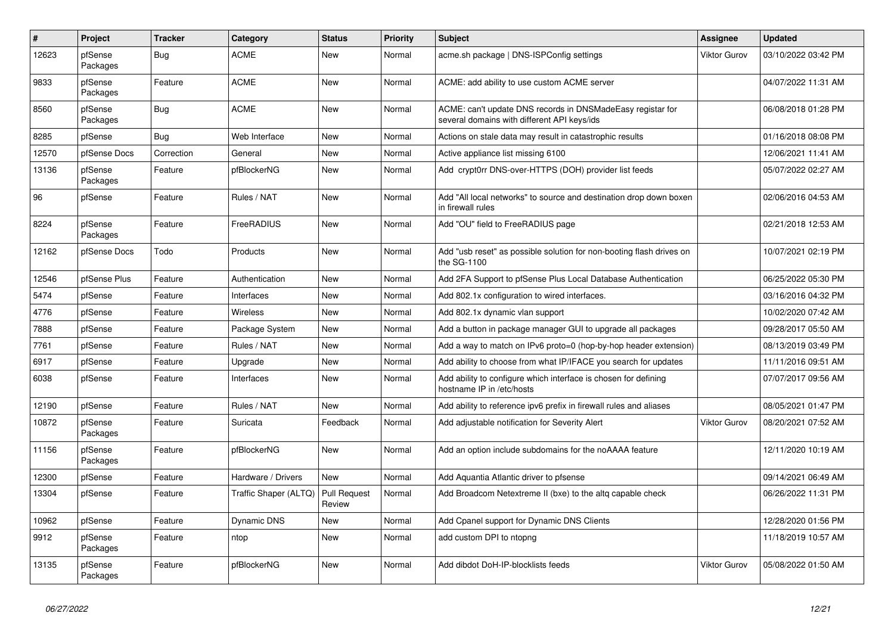| $\vert$ # | Project             | <b>Tracker</b> | Category              | <b>Status</b>                 | Priority | <b>Subject</b>                                                                                            | Assignee            | <b>Updated</b>      |
|-----------|---------------------|----------------|-----------------------|-------------------------------|----------|-----------------------------------------------------------------------------------------------------------|---------------------|---------------------|
| 12623     | pfSense<br>Packages | Bug            | ACME                  | New                           | Normal   | acme.sh package   DNS-ISPConfig settings                                                                  | <b>Viktor Gurov</b> | 03/10/2022 03:42 PM |
| 9833      | pfSense<br>Packages | Feature        | <b>ACME</b>           | <b>New</b>                    | Normal   | ACME: add ability to use custom ACME server                                                               |                     | 04/07/2022 11:31 AM |
| 8560      | pfSense<br>Packages | Bug            | <b>ACME</b>           | <b>New</b>                    | Normal   | ACME: can't update DNS records in DNSMadeEasy registar for<br>several domains with different API keys/ids |                     | 06/08/2018 01:28 PM |
| 8285      | pfSense             | Bug            | Web Interface         | <b>New</b>                    | Normal   | Actions on stale data may result in catastrophic results                                                  |                     | 01/16/2018 08:08 PM |
| 12570     | pfSense Docs        | Correction     | General               | <b>New</b>                    | Normal   | Active appliance list missing 6100                                                                        |                     | 12/06/2021 11:41 AM |
| 13136     | pfSense<br>Packages | Feature        | pfBlockerNG           | <b>New</b>                    | Normal   | Add crypt0rr DNS-over-HTTPS (DOH) provider list feeds                                                     |                     | 05/07/2022 02:27 AM |
| 96        | pfSense             | Feature        | Rules / NAT           | <b>New</b>                    | Normal   | Add "All local networks" to source and destination drop down boxen<br>in firewall rules                   |                     | 02/06/2016 04:53 AM |
| 8224      | pfSense<br>Packages | Feature        | FreeRADIUS            | <b>New</b>                    | Normal   | Add "OU" field to FreeRADIUS page                                                                         |                     | 02/21/2018 12:53 AM |
| 12162     | pfSense Docs        | Todo           | Products              | <b>New</b>                    | Normal   | Add "usb reset" as possible solution for non-booting flash drives on<br>the SG-1100                       |                     | 10/07/2021 02:19 PM |
| 12546     | pfSense Plus        | Feature        | Authentication        | <b>New</b>                    | Normal   | Add 2FA Support to pfSense Plus Local Database Authentication                                             |                     | 06/25/2022 05:30 PM |
| 5474      | pfSense             | Feature        | Interfaces            | <b>New</b>                    | Normal   | Add 802.1x configuration to wired interfaces.                                                             |                     | 03/16/2016 04:32 PM |
| 4776      | pfSense             | Feature        | <b>Wireless</b>       | New                           | Normal   | Add 802.1x dynamic vlan support                                                                           |                     | 10/02/2020 07:42 AM |
| 7888      | pfSense             | Feature        | Package System        | <b>New</b>                    | Normal   | Add a button in package manager GUI to upgrade all packages                                               |                     | 09/28/2017 05:50 AM |
| 7761      | pfSense             | Feature        | Rules / NAT           | <b>New</b>                    | Normal   | Add a way to match on IPv6 proto=0 (hop-by-hop header extension)                                          |                     | 08/13/2019 03:49 PM |
| 6917      | pfSense             | Feature        | Upgrade               | <b>New</b>                    | Normal   | Add ability to choose from what IP/IFACE you search for updates                                           |                     | 11/11/2016 09:51 AM |
| 6038      | pfSense             | Feature        | Interfaces            | <b>New</b>                    | Normal   | Add ability to configure which interface is chosen for defining<br>hostname IP in /etc/hosts              |                     | 07/07/2017 09:56 AM |
| 12190     | pfSense             | Feature        | Rules / NAT           | <b>New</b>                    | Normal   | Add ability to reference ipv6 prefix in firewall rules and aliases                                        |                     | 08/05/2021 01:47 PM |
| 10872     | pfSense<br>Packages | Feature        | Suricata              | Feedback                      | Normal   | Add adjustable notification for Severity Alert                                                            | Viktor Gurov        | 08/20/2021 07:52 AM |
| 11156     | pfSense<br>Packages | Feature        | pfBlockerNG           | <b>New</b>                    | Normal   | Add an option include subdomains for the noAAAA feature                                                   |                     | 12/11/2020 10:19 AM |
| 12300     | pfSense             | Feature        | Hardware / Drivers    | <b>New</b>                    | Normal   | Add Aquantia Atlantic driver to pfsense                                                                   |                     | 09/14/2021 06:49 AM |
| 13304     | pfSense             | Feature        | Traffic Shaper (ALTQ) | <b>Pull Request</b><br>Review | Normal   | Add Broadcom Netextreme II (bxe) to the altg capable check                                                |                     | 06/26/2022 11:31 PM |
| 10962     | pfSense             | Feature        | <b>Dynamic DNS</b>    | <b>New</b>                    | Normal   | Add Cpanel support for Dynamic DNS Clients                                                                |                     | 12/28/2020 01:56 PM |
| 9912      | pfSense<br>Packages | Feature        | ntop                  | <b>New</b>                    | Normal   | add custom DPI to ntopng                                                                                  |                     | 11/18/2019 10:57 AM |
| 13135     | pfSense<br>Packages | Feature        | pfBlockerNG           | New                           | Normal   | Add dibdot DoH-IP-blocklists feeds                                                                        | Viktor Gurov        | 05/08/2022 01:50 AM |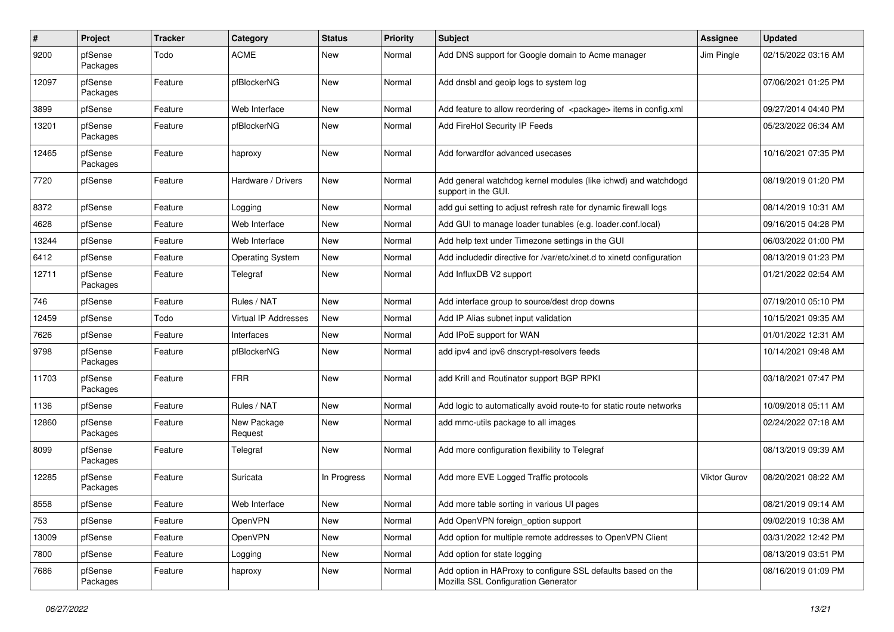| #     | <b>Project</b>      | <b>Tracker</b> | Category                    | <b>Status</b> | <b>Priority</b> | <b>Subject</b>                                                                                      | <b>Assignee</b> | <b>Updated</b>      |
|-------|---------------------|----------------|-----------------------------|---------------|-----------------|-----------------------------------------------------------------------------------------------------|-----------------|---------------------|
| 9200  | pfSense<br>Packages | Todo           | <b>ACME</b>                 | New           | Normal          | Add DNS support for Google domain to Acme manager                                                   | Jim Pingle      | 02/15/2022 03:16 AM |
| 12097 | pfSense<br>Packages | Feature        | pfBlockerNG                 | <b>New</b>    | Normal          | Add dnsbl and geoip logs to system log                                                              |                 | 07/06/2021 01:25 PM |
| 3899  | pfSense             | Feature        | Web Interface               | <b>New</b>    | Normal          | Add feature to allow reordering of <package> items in config.xml</package>                          |                 | 09/27/2014 04:40 PM |
| 13201 | pfSense<br>Packages | Feature        | pfBlockerNG                 | New           | Normal          | Add FireHol Security IP Feeds                                                                       |                 | 05/23/2022 06:34 AM |
| 12465 | pfSense<br>Packages | Feature        | haproxy                     | <b>New</b>    | Normal          | Add forwardfor advanced usecases                                                                    |                 | 10/16/2021 07:35 PM |
| 7720  | pfSense             | Feature        | Hardware / Drivers          | New           | Normal          | Add general watchdog kernel modules (like ichwd) and watchdogd<br>support in the GUI.               |                 | 08/19/2019 01:20 PM |
| 8372  | pfSense             | Feature        | Logging                     | New           | Normal          | add gui setting to adjust refresh rate for dynamic firewall logs                                    |                 | 08/14/2019 10:31 AM |
| 4628  | pfSense             | Feature        | Web Interface               | <b>New</b>    | Normal          | Add GUI to manage loader tunables (e.g. loader.conf.local)                                          |                 | 09/16/2015 04:28 PM |
| 13244 | pfSense             | Feature        | Web Interface               | New           | Normal          | Add help text under Timezone settings in the GUI                                                    |                 | 06/03/2022 01:00 PM |
| 6412  | pfSense             | Feature        | <b>Operating System</b>     | New           | Normal          | Add includedir directive for /var/etc/xinet.d to xinetd configuration                               |                 | 08/13/2019 01:23 PM |
| 12711 | pfSense<br>Packages | Feature        | Telegraf                    | <b>New</b>    | Normal          | Add InfluxDB V2 support                                                                             |                 | 01/21/2022 02:54 AM |
| 746   | pfSense             | Feature        | Rules / NAT                 | <b>New</b>    | Normal          | Add interface group to source/dest drop downs                                                       |                 | 07/19/2010 05:10 PM |
| 12459 | pfSense             | Todo           | <b>Virtual IP Addresses</b> | New           | Normal          | Add IP Alias subnet input validation                                                                |                 | 10/15/2021 09:35 AM |
| 7626  | pfSense             | Feature        | Interfaces                  | New           | Normal          | Add IPoE support for WAN                                                                            |                 | 01/01/2022 12:31 AM |
| 9798  | pfSense<br>Packages | Feature        | pfBlockerNG                 | <b>New</b>    | Normal          | add ipv4 and ipv6 dnscrypt-resolvers feeds                                                          |                 | 10/14/2021 09:48 AM |
| 11703 | pfSense<br>Packages | Feature        | <b>FRR</b>                  | New           | Normal          | add Krill and Routinator support BGP RPKI                                                           |                 | 03/18/2021 07:47 PM |
| 1136  | pfSense             | Feature        | Rules / NAT                 | New           | Normal          | Add logic to automatically avoid route-to for static route networks                                 |                 | 10/09/2018 05:11 AM |
| 12860 | pfSense<br>Packages | Feature        | New Package<br>Request      | New           | Normal          | add mmc-utils package to all images                                                                 |                 | 02/24/2022 07:18 AM |
| 8099  | pfSense<br>Packages | Feature        | Telegraf                    | New           | Normal          | Add more configuration flexibility to Telegraf                                                      |                 | 08/13/2019 09:39 AM |
| 12285 | pfSense<br>Packages | Feature        | Suricata                    | In Progress   | Normal          | Add more EVE Logged Traffic protocols                                                               | Viktor Gurov    | 08/20/2021 08:22 AM |
| 8558  | pfSense             | Feature        | Web Interface               | New           | Normal          | Add more table sorting in various UI pages                                                          |                 | 08/21/2019 09:14 AM |
| 753   | pfSense             | Feature        | OpenVPN                     | New           | Normal          | Add OpenVPN foreign option support                                                                  |                 | 09/02/2019 10:38 AM |
| 13009 | pfSense             | Feature        | OpenVPN                     | New           | Normal          | Add option for multiple remote addresses to OpenVPN Client                                          |                 | 03/31/2022 12:42 PM |
| 7800  | pfSense             | Feature        | Logging                     | New           | Normal          | Add option for state logging                                                                        |                 | 08/13/2019 03:51 PM |
| 7686  | pfSense<br>Packages | Feature        | haproxy                     | New           | Normal          | Add option in HAProxy to configure SSL defaults based on the<br>Mozilla SSL Configuration Generator |                 | 08/16/2019 01:09 PM |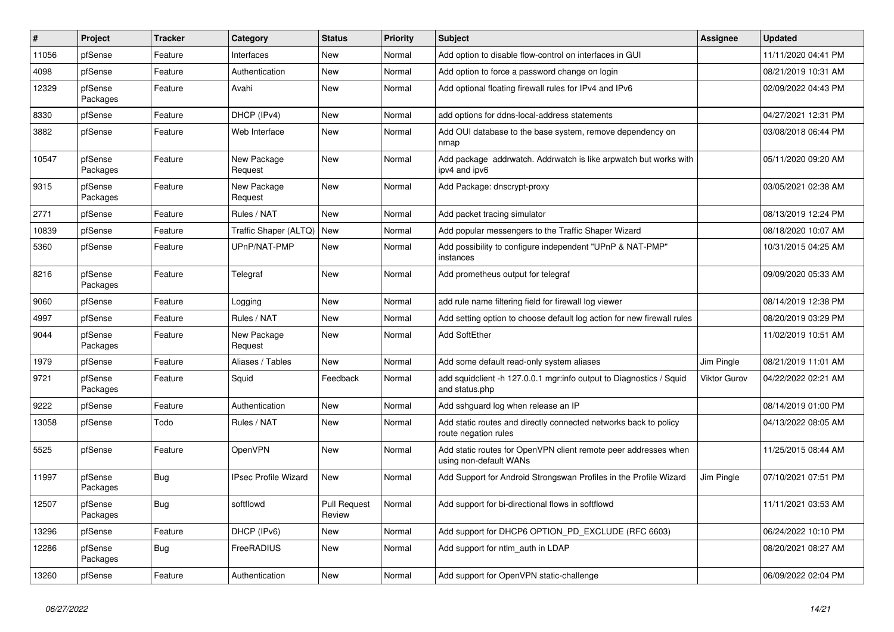| $\overline{\boldsymbol{H}}$ | Project             | <b>Tracker</b> | Category                    | <b>Status</b>                 | <b>Priority</b> | <b>Subject</b>                                                                            | Assignee            | <b>Updated</b>      |
|-----------------------------|---------------------|----------------|-----------------------------|-------------------------------|-----------------|-------------------------------------------------------------------------------------------|---------------------|---------------------|
| 11056                       | pfSense             | Feature        | Interfaces                  | <b>New</b>                    | Normal          | Add option to disable flow-control on interfaces in GUI                                   |                     | 11/11/2020 04:41 PM |
| 4098                        | pfSense             | Feature        | Authentication              | <b>New</b>                    | Normal          | Add option to force a password change on login                                            |                     | 08/21/2019 10:31 AM |
| 12329                       | pfSense<br>Packages | Feature        | Avahi                       | New                           | Normal          | Add optional floating firewall rules for IPv4 and IPv6                                    |                     | 02/09/2022 04:43 PM |
| 8330                        | pfSense             | Feature        | DHCP (IPv4)                 | New                           | Normal          | add options for ddns-local-address statements                                             |                     | 04/27/2021 12:31 PM |
| 3882                        | pfSense             | Feature        | Web Interface               | New                           | Normal          | Add OUI database to the base system, remove dependency on<br>nmap                         |                     | 03/08/2018 06:44 PM |
| 10547                       | pfSense<br>Packages | Feature        | New Package<br>Request      | <b>New</b>                    | Normal          | Add package addrwatch. Addrwatch is like arpwatch but works with<br>ipv4 and ipv6         |                     | 05/11/2020 09:20 AM |
| 9315                        | pfSense<br>Packages | Feature        | New Package<br>Request      | <b>New</b>                    | Normal          | Add Package: dnscrypt-proxy                                                               |                     | 03/05/2021 02:38 AM |
| 2771                        | pfSense             | Feature        | Rules / NAT                 | New                           | Normal          | Add packet tracing simulator                                                              |                     | 08/13/2019 12:24 PM |
| 10839                       | pfSense             | Feature        | Traffic Shaper (ALTQ)       | New                           | Normal          | Add popular messengers to the Traffic Shaper Wizard                                       |                     | 08/18/2020 10:07 AM |
| 5360                        | pfSense             | Feature        | UPnP/NAT-PMP                | New                           | Normal          | Add possibility to configure independent "UPnP & NAT-PMP"<br>instances                    |                     | 10/31/2015 04:25 AM |
| 8216                        | pfSense<br>Packages | Feature        | Telegraf                    | New                           | Normal          | Add prometheus output for telegraf                                                        |                     | 09/09/2020 05:33 AM |
| 9060                        | pfSense             | Feature        | Logging                     | <b>New</b>                    | Normal          | add rule name filtering field for firewall log viewer                                     |                     | 08/14/2019 12:38 PM |
| 4997                        | pfSense             | Feature        | Rules / NAT                 | New                           | Normal          | Add setting option to choose default log action for new firewall rules                    |                     | 08/20/2019 03:29 PM |
| 9044                        | pfSense<br>Packages | Feature        | New Package<br>Request      | <b>New</b>                    | Normal          | <b>Add SoftEther</b>                                                                      |                     | 11/02/2019 10:51 AM |
| 1979                        | pfSense             | Feature        | Aliases / Tables            | New                           | Normal          | Add some default read-only system aliases                                                 | Jim Pingle          | 08/21/2019 11:01 AM |
| 9721                        | pfSense<br>Packages | Feature        | Squid                       | Feedback                      | Normal          | add squidclient -h 127.0.0.1 mgr:info output to Diagnostics / Squid<br>and status.php     | <b>Viktor Gurov</b> | 04/22/2022 02:21 AM |
| 9222                        | pfSense             | Feature        | Authentication              | <b>New</b>                    | Normal          | Add sshguard log when release an IP                                                       |                     | 08/14/2019 01:00 PM |
| 13058                       | pfSense             | Todo           | Rules / NAT                 | New                           | Normal          | Add static routes and directly connected networks back to policy<br>route negation rules  |                     | 04/13/2022 08:05 AM |
| 5525                        | pfSense             | Feature        | OpenVPN                     | <b>New</b>                    | Normal          | Add static routes for OpenVPN client remote peer addresses when<br>using non-default WANs |                     | 11/25/2015 08:44 AM |
| 11997                       | pfSense<br>Packages | Bug            | <b>IPsec Profile Wizard</b> | New                           | Normal          | Add Support for Android Strongswan Profiles in the Profile Wizard                         | Jim Pingle          | 07/10/2021 07:51 PM |
| 12507                       | pfSense<br>Packages | <b>Bug</b>     | softflowd                   | <b>Pull Request</b><br>Review | Normal          | Add support for bi-directional flows in softflowd                                         |                     | 11/11/2021 03:53 AM |
| 13296                       | pfSense             | Feature        | DHCP (IPv6)                 | <b>New</b>                    | Normal          | Add support for DHCP6 OPTION_PD_EXCLUDE (RFC 6603)                                        |                     | 06/24/2022 10:10 PM |
| 12286                       | pfSense<br>Packages | <b>Bug</b>     | FreeRADIUS                  | New                           | Normal          | Add support for ntlm_auth in LDAP                                                         |                     | 08/20/2021 08:27 AM |
| 13260                       | pfSense             | Feature        | Authentication              | <b>New</b>                    | Normal          | Add support for OpenVPN static-challenge                                                  |                     | 06/09/2022 02:04 PM |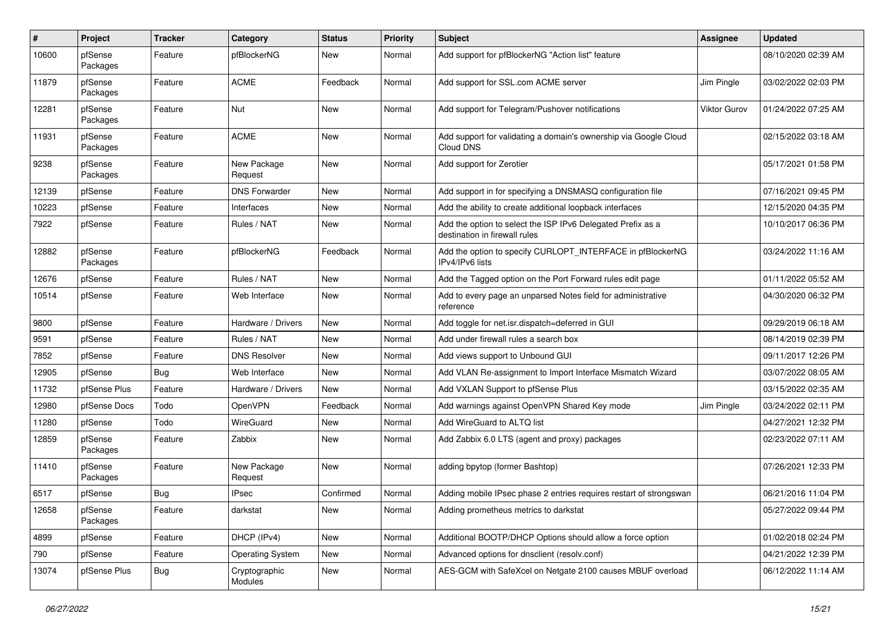| $\pmb{\#}$ | Project             | <b>Tracker</b> | Category                 | <b>Status</b> | <b>Priority</b> | <b>Subject</b>                                                                               | Assignee     | <b>Updated</b>      |
|------------|---------------------|----------------|--------------------------|---------------|-----------------|----------------------------------------------------------------------------------------------|--------------|---------------------|
| 10600      | pfSense<br>Packages | Feature        | pfBlockerNG              | New           | Normal          | Add support for pfBlockerNG "Action list" feature                                            |              | 08/10/2020 02:39 AM |
| 11879      | pfSense<br>Packages | Feature        | <b>ACME</b>              | Feedback      | Normal          | Add support for SSL.com ACME server                                                          | Jim Pingle   | 03/02/2022 02:03 PM |
| 12281      | pfSense<br>Packages | Feature        | Nut                      | <b>New</b>    | Normal          | Add support for Telegram/Pushover notifications                                              | Viktor Gurov | 01/24/2022 07:25 AM |
| 11931      | pfSense<br>Packages | Feature        | <b>ACME</b>              | New           | Normal          | Add support for validating a domain's ownership via Google Cloud<br>Cloud DNS                |              | 02/15/2022 03:18 AM |
| 9238       | pfSense<br>Packages | Feature        | New Package<br>Request   | New           | Normal          | Add support for Zerotier                                                                     |              | 05/17/2021 01:58 PM |
| 12139      | pfSense             | Feature        | <b>DNS Forwarder</b>     | New           | Normal          | Add support in for specifying a DNSMASQ configuration file                                   |              | 07/16/2021 09:45 PM |
| 10223      | pfSense             | Feature        | Interfaces               | New           | Normal          | Add the ability to create additional loopback interfaces                                     |              | 12/15/2020 04:35 PM |
| 7922       | pfSense             | Feature        | Rules / NAT              | New           | Normal          | Add the option to select the ISP IPv6 Delegated Prefix as a<br>destination in firewall rules |              | 10/10/2017 06:36 PM |
| 12882      | pfSense<br>Packages | Feature        | pfBlockerNG              | Feedback      | Normal          | Add the option to specify CURLOPT_INTERFACE in pfBlockerNG<br>IPv4/IPv6 lists                |              | 03/24/2022 11:16 AM |
| 12676      | pfSense             | Feature        | Rules / NAT              | New           | Normal          | Add the Tagged option on the Port Forward rules edit page                                    |              | 01/11/2022 05:52 AM |
| 10514      | pfSense             | Feature        | Web Interface            | New           | Normal          | Add to every page an unparsed Notes field for administrative<br>reference                    |              | 04/30/2020 06:32 PM |
| 9800       | pfSense             | Feature        | Hardware / Drivers       | New           | Normal          | Add toggle for net.isr.dispatch=deferred in GUI                                              |              | 09/29/2019 06:18 AM |
| 9591       | pfSense             | Feature        | Rules / NAT              | New           | Normal          | Add under firewall rules a search box                                                        |              | 08/14/2019 02:39 PM |
| 7852       | pfSense             | Feature        | <b>DNS Resolver</b>      | New           | Normal          | Add views support to Unbound GUI                                                             |              | 09/11/2017 12:26 PM |
| 12905      | pfSense             | Bug            | Web Interface            | New           | Normal          | Add VLAN Re-assignment to Import Interface Mismatch Wizard                                   |              | 03/07/2022 08:05 AM |
| 11732      | pfSense Plus        | Feature        | Hardware / Drivers       | <b>New</b>    | Normal          | Add VXLAN Support to pfSense Plus                                                            |              | 03/15/2022 02:35 AM |
| 12980      | pfSense Docs        | Todo           | OpenVPN                  | Feedback      | Normal          | Add warnings against OpenVPN Shared Key mode                                                 | Jim Pingle   | 03/24/2022 02:11 PM |
| 11280      | pfSense             | Todo           | <b>WireGuard</b>         | <b>New</b>    | Normal          | Add WireGuard to ALTQ list                                                                   |              | 04/27/2021 12:32 PM |
| 12859      | pfSense<br>Packages | Feature        | Zabbix                   | New           | Normal          | Add Zabbix 6.0 LTS (agent and proxy) packages                                                |              | 02/23/2022 07:11 AM |
| 11410      | pfSense<br>Packages | Feature        | New Package<br>Request   | <b>New</b>    | Normal          | adding bpytop (former Bashtop)                                                               |              | 07/26/2021 12:33 PM |
| 6517       | pfSense             | Bug            | <b>IPsec</b>             | Confirmed     | Normal          | Adding mobile IPsec phase 2 entries requires restart of strongswan                           |              | 06/21/2016 11:04 PM |
| 12658      | pfSense<br>Packages | Feature        | darkstat                 | New           | Normal          | Adding prometheus metrics to darkstat                                                        |              | 05/27/2022 09:44 PM |
| 4899       | pfSense             | Feature        | DHCP (IPv4)              | New           | Normal          | Additional BOOTP/DHCP Options should allow a force option                                    |              | 01/02/2018 02:24 PM |
| 790        | pfSense             | Feature        | <b>Operating System</b>  | New           | Normal          | Advanced options for dnsclient (resolv.conf)                                                 |              | 04/21/2022 12:39 PM |
| 13074      | pfSense Plus        | Bug            | Cryptographic<br>Modules | New           | Normal          | AES-GCM with SafeXcel on Netgate 2100 causes MBUF overload                                   |              | 06/12/2022 11:14 AM |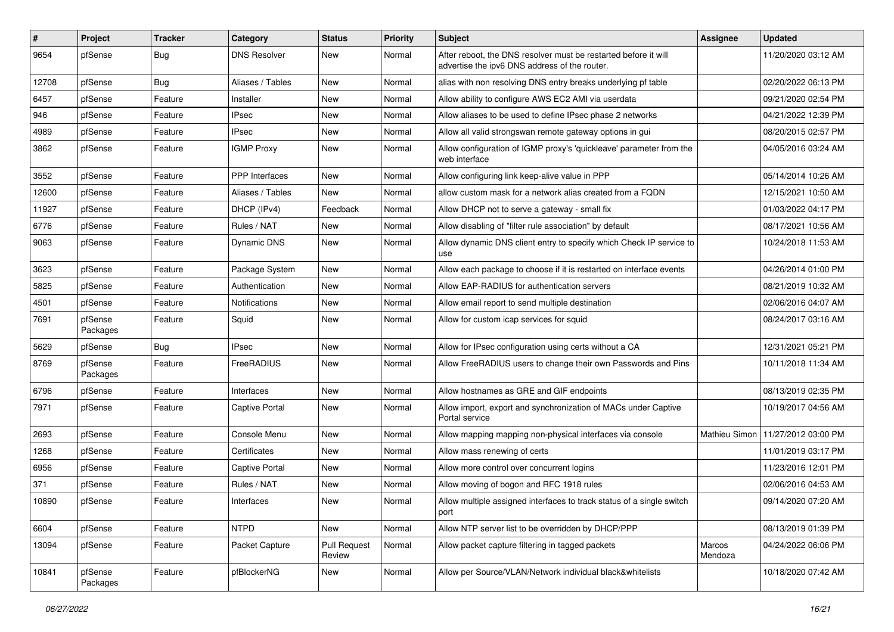| #     | Project             | <b>Tracker</b> | Category            | <b>Status</b>                 | <b>Priority</b> | <b>Subject</b>                                                                                                   | <b>Assignee</b>   | <b>Updated</b>      |
|-------|---------------------|----------------|---------------------|-------------------------------|-----------------|------------------------------------------------------------------------------------------------------------------|-------------------|---------------------|
| 9654  | pfSense             | Bug            | <b>DNS Resolver</b> | New                           | Normal          | After reboot, the DNS resolver must be restarted before it will<br>advertise the ipv6 DNS address of the router. |                   | 11/20/2020 03:12 AM |
| 12708 | pfSense             | Bug            | Aliases / Tables    | New                           | Normal          | alias with non resolving DNS entry breaks underlying pf table                                                    |                   | 02/20/2022 06:13 PM |
| 6457  | pfSense             | Feature        | Installer           | New                           | Normal          | Allow ability to configure AWS EC2 AMI via userdata                                                              |                   | 09/21/2020 02:54 PM |
| 946   | pfSense             | Feature        | <b>IPsec</b>        | New                           | Normal          | Allow aliases to be used to define IPsec phase 2 networks                                                        |                   | 04/21/2022 12:39 PM |
| 4989  | pfSense             | Feature        | <b>IPsec</b>        | New                           | Normal          | Allow all valid strongswan remote gateway options in gui                                                         |                   | 08/20/2015 02:57 PM |
| 3862  | pfSense             | Feature        | <b>IGMP Proxy</b>   | New                           | Normal          | Allow configuration of IGMP proxy's 'quickleave' parameter from the<br>web interface                             |                   | 04/05/2016 03:24 AM |
| 3552  | pfSense             | Feature        | PPP Interfaces      | <b>New</b>                    | Normal          | Allow configuring link keep-alive value in PPP                                                                   |                   | 05/14/2014 10:26 AM |
| 12600 | pfSense             | Feature        | Aliases / Tables    | New                           | Normal          | allow custom mask for a network alias created from a FQDN                                                        |                   | 12/15/2021 10:50 AM |
| 11927 | pfSense             | Feature        | DHCP (IPv4)         | Feedback                      | Normal          | Allow DHCP not to serve a gateway - small fix                                                                    |                   | 01/03/2022 04:17 PM |
| 6776  | pfSense             | Feature        | Rules / NAT         | New                           | Normal          | Allow disabling of "filter rule association" by default                                                          |                   | 08/17/2021 10:56 AM |
| 9063  | pfSense             | Feature        | <b>Dynamic DNS</b>  | New                           | Normal          | Allow dynamic DNS client entry to specify which Check IP service to<br>use                                       |                   | 10/24/2018 11:53 AM |
| 3623  | pfSense             | Feature        | Package System      | New                           | Normal          | Allow each package to choose if it is restarted on interface events                                              |                   | 04/26/2014 01:00 PM |
| 5825  | pfSense             | Feature        | Authentication      | <b>New</b>                    | Normal          | Allow EAP-RADIUS for authentication servers                                                                      |                   | 08/21/2019 10:32 AM |
| 4501  | pfSense             | Feature        | Notifications       | New                           | Normal          | Allow email report to send multiple destination                                                                  |                   | 02/06/2016 04:07 AM |
| 7691  | pfSense<br>Packages | Feature        | Squid               | New                           | Normal          | Allow for custom icap services for squid                                                                         |                   | 08/24/2017 03:16 AM |
| 5629  | pfSense             | Bug            | <b>IPsec</b>        | New                           | Normal          | Allow for IPsec configuration using certs without a CA                                                           |                   | 12/31/2021 05:21 PM |
| 8769  | pfSense<br>Packages | Feature        | FreeRADIUS          | <b>New</b>                    | Normal          | Allow FreeRADIUS users to change their own Passwords and Pins                                                    |                   | 10/11/2018 11:34 AM |
| 6796  | pfSense             | Feature        | Interfaces          | New                           | Normal          | Allow hostnames as GRE and GIF endpoints                                                                         |                   | 08/13/2019 02:35 PM |
| 7971  | pfSense             | Feature        | Captive Portal      | New                           | Normal          | Allow import, export and synchronization of MACs under Captive<br>Portal service                                 |                   | 10/19/2017 04:56 AM |
| 2693  | pfSense             | Feature        | Console Menu        | New                           | Normal          | Allow mapping mapping non-physical interfaces via console                                                        | Mathieu Simon     | 11/27/2012 03:00 PM |
| 1268  | pfSense             | Feature        | Certificates        | New                           | Normal          | Allow mass renewing of certs                                                                                     |                   | 11/01/2019 03:17 PM |
| 6956  | pfSense             | Feature        | Captive Portal      | New                           | Normal          | Allow more control over concurrent logins                                                                        |                   | 11/23/2016 12:01 PM |
| 371   | pfSense             | Feature        | Rules / NAT         | New                           | Normal          | Allow moving of bogon and RFC 1918 rules                                                                         |                   | 02/06/2016 04:53 AM |
| 10890 | pfSense             | Feature        | Interfaces          | New                           | Normal          | Allow multiple assigned interfaces to track status of a single switch<br>port                                    |                   | 09/14/2020 07:20 AM |
| 6604  | pfSense             | Feature        | <b>NTPD</b>         | New                           | Normal          | Allow NTP server list to be overridden by DHCP/PPP                                                               |                   | 08/13/2019 01:39 PM |
| 13094 | pfSense             | Feature        | Packet Capture      | <b>Pull Request</b><br>Review | Normal          | Allow packet capture filtering in tagged packets                                                                 | Marcos<br>Mendoza | 04/24/2022 06:06 PM |
| 10841 | pfSense<br>Packages | Feature        | pfBlockerNG         | New                           | Normal          | Allow per Source/VLAN/Network individual black&whitelists                                                        |                   | 10/18/2020 07:42 AM |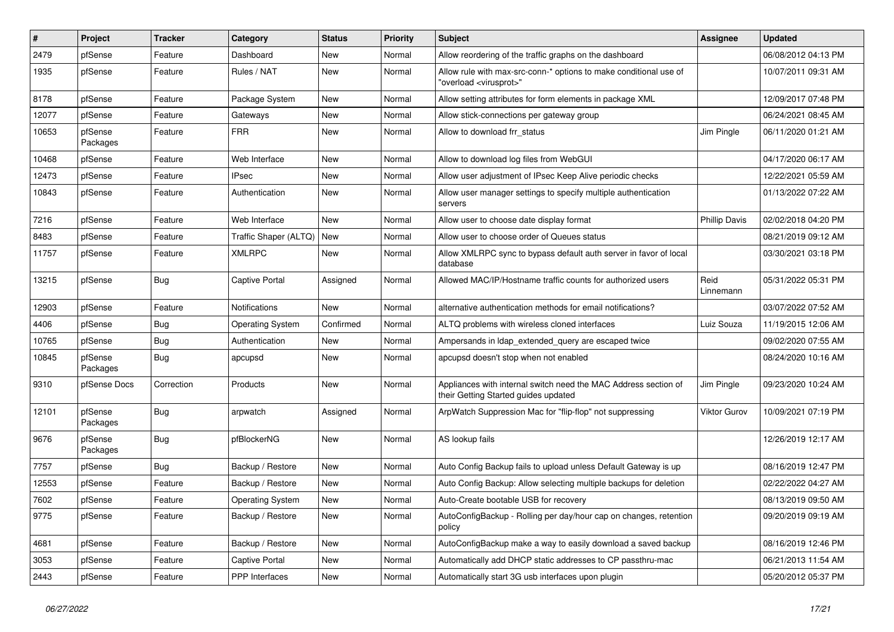| #     | Project             | <b>Tracker</b> | Category                    | <b>Status</b> | <b>Priority</b> | <b>Subject</b>                                                                                          | <b>Assignee</b>      | <b>Updated</b>      |
|-------|---------------------|----------------|-----------------------------|---------------|-----------------|---------------------------------------------------------------------------------------------------------|----------------------|---------------------|
| 2479  | pfSense             | Feature        | Dashboard                   | New           | Normal          | Allow reordering of the traffic graphs on the dashboard                                                 |                      | 06/08/2012 04:13 PM |
| 1935  | pfSense             | Feature        | Rules / NAT                 | New           | Normal          | Allow rule with max-src-conn-* options to make conditional use of<br>"overload <virusprot>"</virusprot> |                      | 10/07/2011 09:31 AM |
| 8178  | pfSense             | Feature        | Package System              | New           | Normal          | Allow setting attributes for form elements in package XML                                               |                      | 12/09/2017 07:48 PM |
| 12077 | pfSense             | Feature        | Gateways                    | New           | Normal          | Allow stick-connections per gateway group                                                               |                      | 06/24/2021 08:45 AM |
| 10653 | pfSense<br>Packages | Feature        | <b>FRR</b>                  | New           | Normal          | Allow to download frr status                                                                            | Jim Pingle           | 06/11/2020 01:21 AM |
| 10468 | pfSense             | Feature        | Web Interface               | <b>New</b>    | Normal          | Allow to download log files from WebGUI                                                                 |                      | 04/17/2020 06:17 AM |
| 12473 | pfSense             | Feature        | <b>IPsec</b>                | New           | Normal          | Allow user adjustment of IPsec Keep Alive periodic checks                                               |                      | 12/22/2021 05:59 AM |
| 10843 | pfSense             | Feature        | Authentication              | New           | Normal          | Allow user manager settings to specify multiple authentication<br>servers                               |                      | 01/13/2022 07:22 AM |
| 7216  | pfSense             | Feature        | Web Interface               | <b>New</b>    | Normal          | Allow user to choose date display format                                                                | <b>Phillip Davis</b> | 02/02/2018 04:20 PM |
| 8483  | pfSense             | Feature        | Traffic Shaper (ALTQ)   New |               | Normal          | Allow user to choose order of Queues status                                                             |                      | 08/21/2019 09:12 AM |
| 11757 | pfSense             | Feature        | <b>XMLRPC</b>               | New           | Normal          | Allow XMLRPC sync to bypass default auth server in favor of local<br>database                           |                      | 03/30/2021 03:18 PM |
| 13215 | pfSense             | Bug            | Captive Portal              | Assigned      | Normal          | Allowed MAC/IP/Hostname traffic counts for authorized users                                             | Reid<br>Linnemann    | 05/31/2022 05:31 PM |
| 12903 | pfSense             | Feature        | Notifications               | New           | Normal          | alternative authentication methods for email notifications?                                             |                      | 03/07/2022 07:52 AM |
| 4406  | pfSense             | <b>Bug</b>     | <b>Operating System</b>     | Confirmed     | Normal          | ALTQ problems with wireless cloned interfaces                                                           | Luiz Souza           | 11/19/2015 12:06 AM |
| 10765 | pfSense             | Bug            | Authentication              | New           | Normal          | Ampersands in Idap_extended_query are escaped twice                                                     |                      | 09/02/2020 07:55 AM |
| 10845 | pfSense<br>Packages | <b>Bug</b>     | apcupsd                     | New           | Normal          | apcupsd doesn't stop when not enabled                                                                   |                      | 08/24/2020 10:16 AM |
| 9310  | pfSense Docs        | Correction     | Products                    | New           | Normal          | Appliances with internal switch need the MAC Address section of<br>their Getting Started guides updated | Jim Pingle           | 09/23/2020 10:24 AM |
| 12101 | pfSense<br>Packages | <b>Bug</b>     | arpwatch                    | Assigned      | Normal          | ArpWatch Suppression Mac for "flip-flop" not suppressing                                                | Viktor Gurov         | 10/09/2021 07:19 PM |
| 9676  | pfSense<br>Packages | Bug            | pfBlockerNG                 | <b>New</b>    | Normal          | AS lookup fails                                                                                         |                      | 12/26/2019 12:17 AM |
| 7757  | pfSense             | <b>Bug</b>     | Backup / Restore            | New           | Normal          | Auto Config Backup fails to upload unless Default Gateway is up                                         |                      | 08/16/2019 12:47 PM |
| 12553 | pfSense             | Feature        | Backup / Restore            | New           | Normal          | Auto Config Backup: Allow selecting multiple backups for deletion                                       |                      | 02/22/2022 04:27 AM |
| 7602  | pfSense             | Feature        | <b>Operating System</b>     | New           | Normal          | Auto-Create bootable USB for recovery                                                                   |                      | 08/13/2019 09:50 AM |
| 9775  | pfSense             | Feature        | Backup / Restore            | New           | Normal          | AutoConfigBackup - Rolling per day/hour cap on changes, retention<br>policy                             |                      | 09/20/2019 09:19 AM |
| 4681  | pfSense             | Feature        | Backup / Restore            | New           | Normal          | AutoConfigBackup make a way to easily download a saved backup                                           |                      | 08/16/2019 12:46 PM |
| 3053  | pfSense             | Feature        | Captive Portal              | New           | Normal          | Automatically add DHCP static addresses to CP passthru-mac                                              |                      | 06/21/2013 11:54 AM |
| 2443  | pfSense             | Feature        | PPP Interfaces              | New           | Normal          | Automatically start 3G usb interfaces upon plugin                                                       |                      | 05/20/2012 05:37 PM |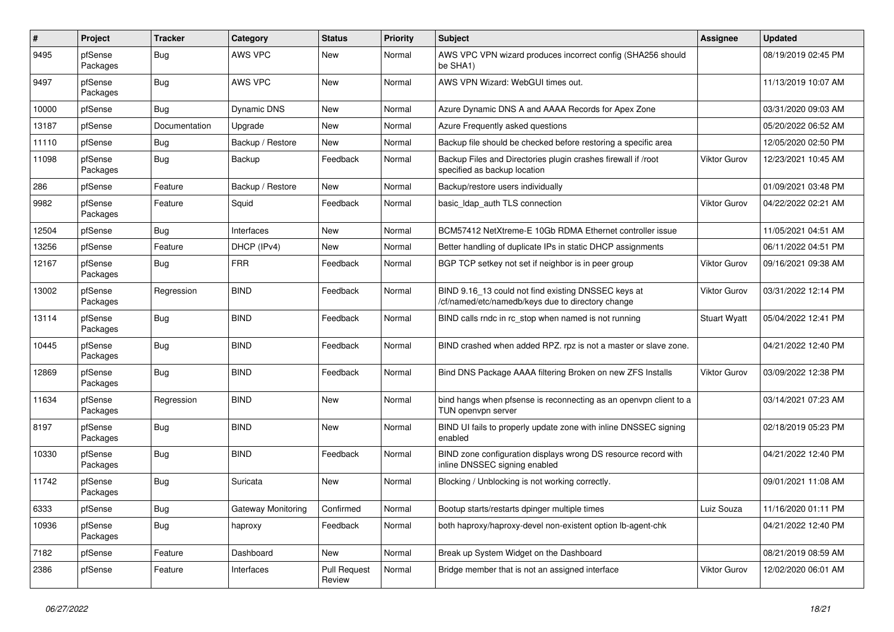| $\pmb{\#}$ | Project             | <b>Tracker</b> | Category           | <b>Status</b>                 | <b>Priority</b> | Subject                                                                                                  | <b>Assignee</b>     | <b>Updated</b>      |
|------------|---------------------|----------------|--------------------|-------------------------------|-----------------|----------------------------------------------------------------------------------------------------------|---------------------|---------------------|
| 9495       | pfSense<br>Packages | <b>Bug</b>     | AWS VPC            | New                           | Normal          | AWS VPC VPN wizard produces incorrect config (SHA256 should<br>be SHA1)                                  |                     | 08/19/2019 02:45 PM |
| 9497       | pfSense<br>Packages | Bug            | AWS VPC            | New                           | Normal          | AWS VPN Wizard: WebGUI times out.                                                                        |                     | 11/13/2019 10:07 AM |
| 10000      | pfSense             | Bug            | <b>Dynamic DNS</b> | New                           | Normal          | Azure Dynamic DNS A and AAAA Records for Apex Zone                                                       |                     | 03/31/2020 09:03 AM |
| 13187      | pfSense             | Documentation  | Upgrade            | New                           | Normal          | Azure Frequently asked questions                                                                         |                     | 05/20/2022 06:52 AM |
| 11110      | pfSense             | Bug            | Backup / Restore   | New                           | Normal          | Backup file should be checked before restoring a specific area                                           |                     | 12/05/2020 02:50 PM |
| 11098      | pfSense<br>Packages | Bug            | Backup             | Feedback                      | Normal          | Backup Files and Directories plugin crashes firewall if /root<br>specified as backup location            | <b>Viktor Gurov</b> | 12/23/2021 10:45 AM |
| 286        | pfSense             | Feature        | Backup / Restore   | New                           | Normal          | Backup/restore users individually                                                                        |                     | 01/09/2021 03:48 PM |
| 9982       | pfSense<br>Packages | Feature        | Squid              | Feedback                      | Normal          | basic_Idap_auth TLS connection                                                                           | <b>Viktor Gurov</b> | 04/22/2022 02:21 AM |
| 12504      | pfSense             | Bug            | Interfaces         | New                           | Normal          | BCM57412 NetXtreme-E 10Gb RDMA Ethernet controller issue                                                 |                     | 11/05/2021 04:51 AM |
| 13256      | pfSense             | Feature        | DHCP (IPv4)        | New                           | Normal          | Better handling of duplicate IPs in static DHCP assignments                                              |                     | 06/11/2022 04:51 PM |
| 12167      | pfSense<br>Packages | Bug            | <b>FRR</b>         | Feedback                      | Normal          | BGP TCP setkey not set if neighbor is in peer group                                                      | Viktor Gurov        | 09/16/2021 09:38 AM |
| 13002      | pfSense<br>Packages | Regression     | <b>BIND</b>        | Feedback                      | Normal          | BIND 9.16 13 could not find existing DNSSEC keys at<br>/cf/named/etc/namedb/keys due to directory change | Viktor Gurov        | 03/31/2022 12:14 PM |
| 13114      | pfSense<br>Packages | Bug            | <b>BIND</b>        | Feedback                      | Normal          | BIND calls rndc in rc_stop when named is not running                                                     | <b>Stuart Wyatt</b> | 05/04/2022 12:41 PM |
| 10445      | pfSense<br>Packages | <b>Bug</b>     | <b>BIND</b>        | Feedback                      | Normal          | BIND crashed when added RPZ. rpz is not a master or slave zone.                                          |                     | 04/21/2022 12:40 PM |
| 12869      | pfSense<br>Packages | Bug            | <b>BIND</b>        | Feedback                      | Normal          | Bind DNS Package AAAA filtering Broken on new ZFS Installs                                               | Viktor Gurov        | 03/09/2022 12:38 PM |
| 11634      | pfSense<br>Packages | Regression     | <b>BIND</b>        | New                           | Normal          | bind hangs when pfsense is reconnecting as an openvpn client to a<br>TUN openvpn server                  |                     | 03/14/2021 07:23 AM |
| 8197       | pfSense<br>Packages | <b>Bug</b>     | <b>BIND</b>        | <b>New</b>                    | Normal          | BIND UI fails to properly update zone with inline DNSSEC signing<br>enabled                              |                     | 02/18/2019 05:23 PM |
| 10330      | pfSense<br>Packages | Bug            | <b>BIND</b>        | Feedback                      | Normal          | BIND zone configuration displays wrong DS resource record with<br>inline DNSSEC signing enabled          |                     | 04/21/2022 12:40 PM |
| 11742      | pfSense<br>Packages | Bug            | Suricata           | New                           | Normal          | Blocking / Unblocking is not working correctly.                                                          |                     | 09/01/2021 11:08 AM |
| 6333       | pfSense             | Bug            | Gateway Monitoring | Confirmed                     | Normal          | Bootup starts/restarts dpinger multiple times                                                            | Luiz Souza          | 11/16/2020 01:11 PM |
| 10936      | pfSense<br>Packages | <b>Bug</b>     | haproxy            | Feedback                      | Normal          | both haproxy/haproxy-devel non-existent option lb-agent-chk                                              |                     | 04/21/2022 12:40 PM |
| 7182       | pfSense             | Feature        | Dashboard          | New                           | Normal          | Break up System Widget on the Dashboard                                                                  |                     | 08/21/2019 08:59 AM |
| 2386       | pfSense             | Feature        | Interfaces         | <b>Pull Request</b><br>Review | Normal          | Bridge member that is not an assigned interface                                                          | Viktor Gurov        | 12/02/2020 06:01 AM |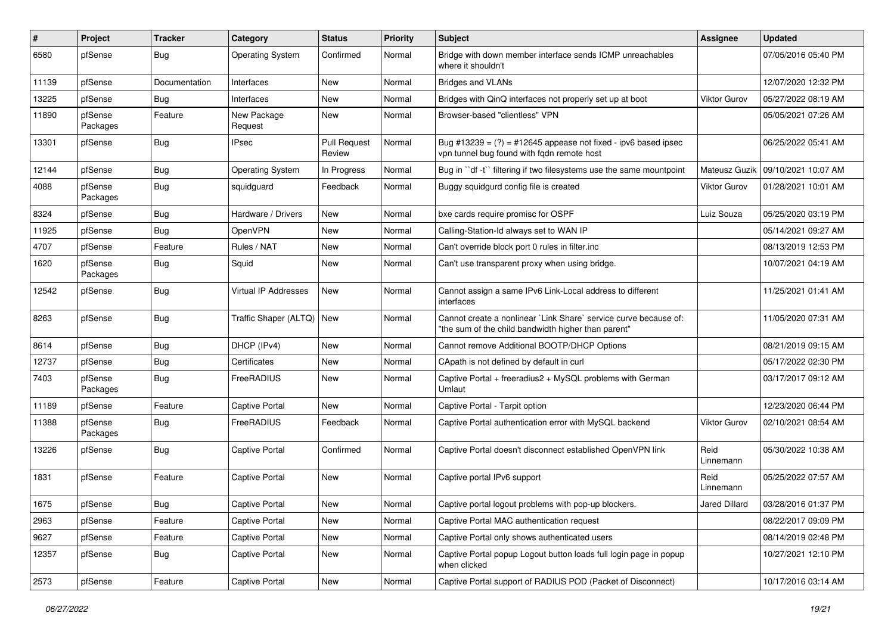| #     | Project             | <b>Tracker</b> | Category                    | <b>Status</b>                 | <b>Priority</b> | <b>Subject</b>                                                                                                          | Assignee          | <b>Updated</b>      |
|-------|---------------------|----------------|-----------------------------|-------------------------------|-----------------|-------------------------------------------------------------------------------------------------------------------------|-------------------|---------------------|
| 6580  | pfSense             | Bug            | <b>Operating System</b>     | Confirmed                     | Normal          | Bridge with down member interface sends ICMP unreachables<br>where it shouldn't                                         |                   | 07/05/2016 05:40 PM |
| 11139 | pfSense             | Documentation  | Interfaces                  | <b>New</b>                    | Normal          | <b>Bridges and VLANs</b>                                                                                                |                   | 12/07/2020 12:32 PM |
| 13225 | pfSense             | Bug            | Interfaces                  | New                           | Normal          | Bridges with QinQ interfaces not properly set up at boot                                                                | Viktor Gurov      | 05/27/2022 08:19 AM |
| 11890 | pfSense<br>Packages | Feature        | New Package<br>Request      | <b>New</b>                    | Normal          | Browser-based "clientless" VPN                                                                                          |                   | 05/05/2021 07:26 AM |
| 13301 | pfSense             | Bug            | <b>IPsec</b>                | <b>Pull Request</b><br>Review | Normal          | Bug #13239 = $(?)$ = #12645 appease not fixed - ipv6 based ipsec<br>vpn tunnel bug found with fqdn remote host          |                   | 06/25/2022 05:41 AM |
| 12144 | pfSense             | Bug            | <b>Operating System</b>     | In Progress                   | Normal          | Bug in "df -t" filtering if two filesystems use the same mountpoint                                                     | Mateusz Guzik     | 09/10/2021 10:07 AM |
| 4088  | pfSense<br>Packages | <b>Bug</b>     | squidguard                  | Feedback                      | Normal          | Buggy squidgurd config file is created                                                                                  | Viktor Gurov      | 01/28/2021 10:01 AM |
| 8324  | pfSense             | Bug            | Hardware / Drivers          | <b>New</b>                    | Normal          | bxe cards require promisc for OSPF                                                                                      | Luiz Souza        | 05/25/2020 03:19 PM |
| 11925 | pfSense             | Bug            | OpenVPN                     | <b>New</b>                    | Normal          | Calling-Station-Id always set to WAN IP                                                                                 |                   | 05/14/2021 09:27 AM |
| 4707  | pfSense             | Feature        | Rules / NAT                 | New                           | Normal          | Can't override block port 0 rules in filter.inc                                                                         |                   | 08/13/2019 12:53 PM |
| 1620  | pfSense<br>Packages | Bug            | Squid                       | New                           | Normal          | Can't use transparent proxy when using bridge.                                                                          |                   | 10/07/2021 04:19 AM |
| 12542 | pfSense             | Bug            | Virtual IP Addresses        | <b>New</b>                    | Normal          | Cannot assign a same IPv6 Link-Local address to different<br>interfaces                                                 |                   | 11/25/2021 01:41 AM |
| 8263  | pfSense             | Bug            | Traffic Shaper (ALTQ)   New |                               | Normal          | Cannot create a nonlinear `Link Share` service curve because of:<br>"the sum of the child bandwidth higher than parent" |                   | 11/05/2020 07:31 AM |
| 8614  | pfSense             | Bug            | DHCP (IPv4)                 | <b>New</b>                    | Normal          | Cannot remove Additional BOOTP/DHCP Options                                                                             |                   | 08/21/2019 09:15 AM |
| 12737 | pfSense             | Bug            | Certificates                | <b>New</b>                    | Normal          | CApath is not defined by default in curl                                                                                |                   | 05/17/2022 02:30 PM |
| 7403  | pfSense<br>Packages | Bug            | FreeRADIUS                  | New                           | Normal          | Captive Portal + freeradius2 + MySQL problems with German<br>Umlaut                                                     |                   | 03/17/2017 09:12 AM |
| 11189 | pfSense             | Feature        | <b>Captive Portal</b>       | New                           | Normal          | Captive Portal - Tarpit option                                                                                          |                   | 12/23/2020 06:44 PM |
| 11388 | pfSense<br>Packages | Bug            | FreeRADIUS                  | Feedback                      | Normal          | Captive Portal authentication error with MySQL backend                                                                  | Viktor Gurov      | 02/10/2021 08:54 AM |
| 13226 | pfSense             | Bug            | Captive Portal              | Confirmed                     | Normal          | Captive Portal doesn't disconnect established OpenVPN link                                                              | Reid<br>Linnemann | 05/30/2022 10:38 AM |
| 1831  | pfSense             | Feature        | <b>Captive Portal</b>       | New                           | Normal          | Captive portal IPv6 support                                                                                             | Reid<br>Linnemann | 05/25/2022 07:57 AM |
| 1675  | pfSense             | Bug            | Captive Portal              | New                           | Normal          | Captive portal logout problems with pop-up blockers.                                                                    | Jared Dillard     | 03/28/2016 01:37 PM |
| 2963  | pfSense             | Feature        | Captive Portal              | New                           | Normal          | Captive Portal MAC authentication request                                                                               |                   | 08/22/2017 09:09 PM |
| 9627  | pfSense             | Feature        | Captive Portal              | New                           | Normal          | Captive Portal only shows authenticated users                                                                           |                   | 08/14/2019 02:48 PM |
| 12357 | pfSense             | Bug            | Captive Portal              | New                           | Normal          | Captive Portal popup Logout button loads full login page in popup<br>when clicked                                       |                   | 10/27/2021 12:10 PM |
| 2573  | pfSense             | Feature        | Captive Portal              | New                           | Normal          | Captive Portal support of RADIUS POD (Packet of Disconnect)                                                             |                   | 10/17/2016 03:14 AM |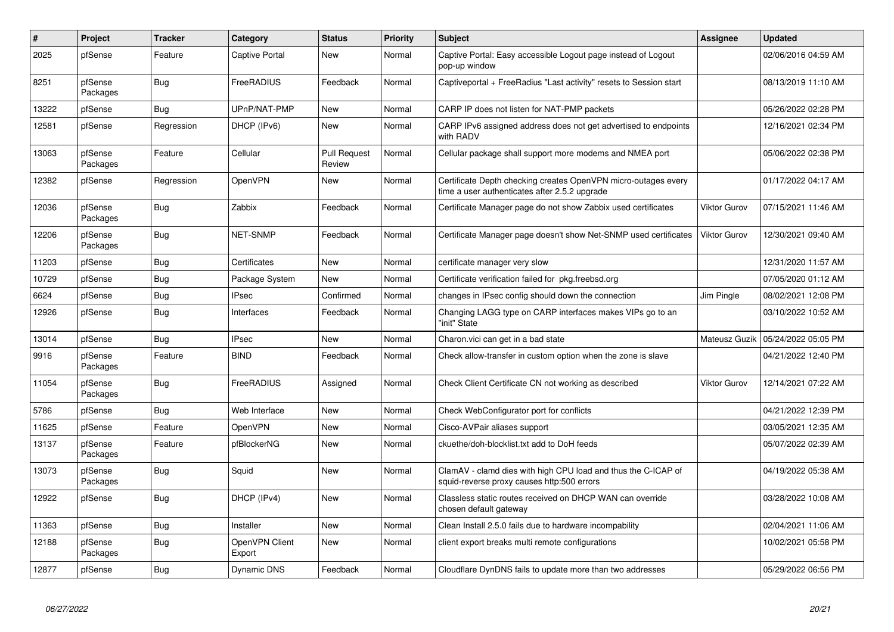| $\sharp$ | Project             | <b>Tracker</b> | Category                 | <b>Status</b>                 | <b>Priority</b> | <b>Subject</b>                                                                                                  | <b>Assignee</b> | <b>Updated</b>      |
|----------|---------------------|----------------|--------------------------|-------------------------------|-----------------|-----------------------------------------------------------------------------------------------------------------|-----------------|---------------------|
| 2025     | pfSense             | Feature        | Captive Portal           | <b>New</b>                    | Normal          | Captive Portal: Easy accessible Logout page instead of Logout<br>pop-up window                                  |                 | 02/06/2016 04:59 AM |
| 8251     | pfSense<br>Packages | <b>Bug</b>     | FreeRADIUS               | Feedback                      | Normal          | Captiveportal + FreeRadius "Last activity" resets to Session start                                              |                 | 08/13/2019 11:10 AM |
| 13222    | pfSense             | <b>Bug</b>     | UPnP/NAT-PMP             | New                           | Normal          | CARP IP does not listen for NAT-PMP packets                                                                     |                 | 05/26/2022 02:28 PM |
| 12581    | pfSense             | Regression     | DHCP (IPv6)              | New                           | Normal          | CARP IPv6 assigned address does not get advertised to endpoints<br>with RADV                                    |                 | 12/16/2021 02:34 PM |
| 13063    | pfSense<br>Packages | Feature        | Cellular                 | <b>Pull Request</b><br>Review | Normal          | Cellular package shall support more modems and NMEA port                                                        |                 | 05/06/2022 02:38 PM |
| 12382    | pfSense             | Regression     | <b>OpenVPN</b>           | New                           | Normal          | Certificate Depth checking creates OpenVPN micro-outages every<br>time a user authenticates after 2.5.2 upgrade |                 | 01/17/2022 04:17 AM |
| 12036    | pfSense<br>Packages | Bug            | Zabbix                   | Feedback                      | Normal          | Certificate Manager page do not show Zabbix used certificates                                                   | Viktor Gurov    | 07/15/2021 11:46 AM |
| 12206    | pfSense<br>Packages | Bug            | <b>NET-SNMP</b>          | Feedback                      | Normal          | Certificate Manager page doesn't show Net-SNMP used certificates                                                | Viktor Gurov    | 12/30/2021 09:40 AM |
| 11203    | pfSense             | Bug            | Certificates             | <b>New</b>                    | Normal          | certificate manager very slow                                                                                   |                 | 12/31/2020 11:57 AM |
| 10729    | pfSense             | <b>Bug</b>     | Package System           | New                           | Normal          | Certificate verification failed for pkg.freebsd.org                                                             |                 | 07/05/2020 01:12 AM |
| 6624     | pfSense             | Bug            | <b>IPsec</b>             | Confirmed                     | Normal          | changes in IPsec config should down the connection                                                              | Jim Pingle      | 08/02/2021 12:08 PM |
| 12926    | pfSense             | Bug            | Interfaces               | Feedback                      | Normal          | Changing LAGG type on CARP interfaces makes VIPs go to an<br>'init" State                                       |                 | 03/10/2022 10:52 AM |
| 13014    | pfSense             | <b>Bug</b>     | <b>IPsec</b>             | <b>New</b>                    | Normal          | Charon.vici can get in a bad state                                                                              | Mateusz Guzik   | 05/24/2022 05:05 PM |
| 9916     | pfSense<br>Packages | Feature        | <b>BIND</b>              | Feedback                      | Normal          | Check allow-transfer in custom option when the zone is slave                                                    |                 | 04/21/2022 12:40 PM |
| 11054    | pfSense<br>Packages | <b>Bug</b>     | FreeRADIUS               | Assigned                      | Normal          | Check Client Certificate CN not working as described                                                            | Viktor Gurov    | 12/14/2021 07:22 AM |
| 5786     | pfSense             | Bug            | Web Interface            | <b>New</b>                    | Normal          | Check WebConfigurator port for conflicts                                                                        |                 | 04/21/2022 12:39 PM |
| 11625    | pfSense             | Feature        | <b>OpenVPN</b>           | New                           | Normal          | Cisco-AVPair aliases support                                                                                    |                 | 03/05/2021 12:35 AM |
| 13137    | pfSense<br>Packages | Feature        | pfBlockerNG              | <b>New</b>                    | Normal          | ckuethe/doh-blocklist.txt add to DoH feeds                                                                      |                 | 05/07/2022 02:39 AM |
| 13073    | pfSense<br>Packages | <b>Bug</b>     | Squid                    | New                           | Normal          | ClamAV - clamd dies with high CPU load and thus the C-ICAP of<br>squid-reverse proxy causes http:500 errors     |                 | 04/19/2022 05:38 AM |
| 12922    | pfSense             | Bug            | DHCP (IPv4)              | <b>New</b>                    | Normal          | Classless static routes received on DHCP WAN can override<br>chosen default gateway                             |                 | 03/28/2022 10:08 AM |
| 11363    | pfSense             | <b>Bug</b>     | Installer                | New                           | Normal          | Clean Install 2.5.0 fails due to hardware incompability                                                         |                 | 02/04/2021 11:06 AM |
| 12188    | pfSense<br>Packages | Bug            | OpenVPN Client<br>Export | New                           | Normal          | client export breaks multi remote configurations                                                                |                 | 10/02/2021 05:58 PM |
| 12877    | pfSense             | Bug            | Dynamic DNS              | Feedback                      | Normal          | Cloudflare DynDNS fails to update more than two addresses                                                       |                 | 05/29/2022 06:56 PM |